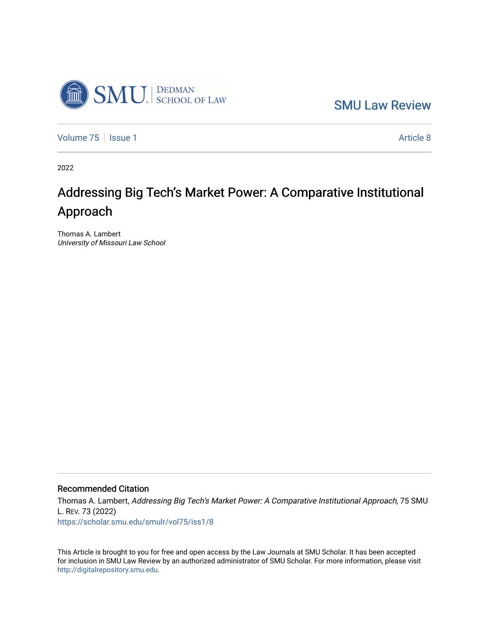

[SMU Law Review](https://scholar.smu.edu/smulr) 

[Volume 75](https://scholar.smu.edu/smulr/vol75) | [Issue 1](https://scholar.smu.edu/smulr/vol75/iss1) Article 8

2022

# Addressing Big Tech's Market Power: A Comparative Institutional Approach

Thomas A. Lambert University of Missouri Law School

## Recommended Citation

Thomas A. Lambert, Addressing Big Tech's Market Power: A Comparative Institutional Approach, 75 SMU L. REV. 73 (2022) [https://scholar.smu.edu/smulr/vol75/iss1/8](https://scholar.smu.edu/smulr/vol75/iss1/8?utm_source=scholar.smu.edu%2Fsmulr%2Fvol75%2Fiss1%2F8&utm_medium=PDF&utm_campaign=PDFCoverPages) 

This Article is brought to you for free and open access by the Law Journals at SMU Scholar. It has been accepted for inclusion in SMU Law Review by an authorized administrator of SMU Scholar. For more information, please visit [http://digitalrepository.smu.edu.](http://digitalrepository.smu.edu/)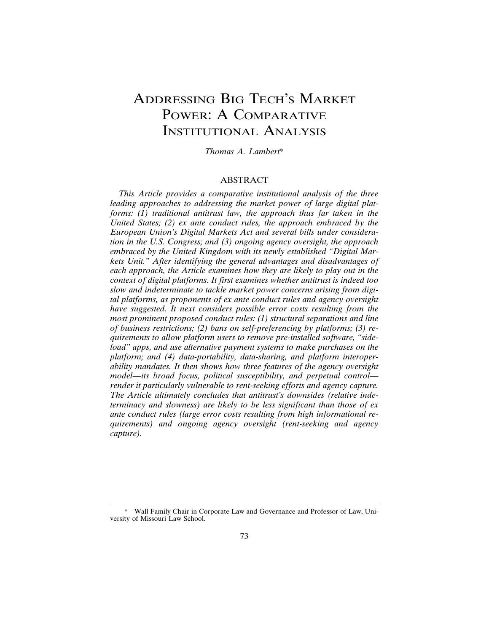## ADDRESSING BIG TECH'S MARKET POWER: A COMPARATIVE INSTITUTIONAL ANALYSIS

*Thomas A. Lambert*\*

## ABSTRACT

*This Article provides a comparative institutional analysis of the three leading approaches to addressing the market power of large digital platforms: (1) traditional antitrust law, the approach thus far taken in the United States; (2) ex ante conduct rules, the approach embraced by the European Union's Digital Markets Act and several bills under consideration in the U.S. Congress; and (3) ongoing agency oversight, the approach embraced by the United Kingdom with its newly established "Digital Markets Unit." After identifying the general advantages and disadvantages of each approach, the Article examines how they are likely to play out in the context of digital platforms. It first examines whether antitrust is indeed too slow and indeterminate to tackle market power concerns arising from digital platforms, as proponents of ex ante conduct rules and agency oversight have suggested. It next considers possible error costs resulting from the most prominent proposed conduct rules: (1) structural separations and line of business restrictions; (2) bans on self-preferencing by platforms; (3) requirements to allow platform users to remove pre-installed software, "sideload" apps, and use alternative payment systems to make purchases on the platform; and (4) data-portability, data-sharing, and platform interoperability mandates. It then shows how three features of the agency oversight model—its broad focus, political susceptibility, and perpetual control render it particularly vulnerable to rent-seeking efforts and agency capture. The Article ultimately concludes that antitrust's downsides (relative indeterminacy and slowness) are likely to be less significant than those of ex ante conduct rules (large error costs resulting from high informational requirements) and ongoing agency oversight (rent-seeking and agency capture).*

<sup>\*</sup> Wall Family Chair in Corporate Law and Governance and Professor of Law, University of Missouri Law School.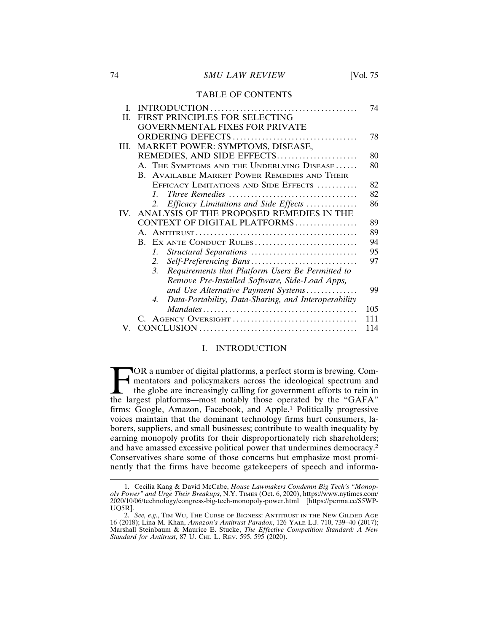#### TABLE OF CONTENTS

| L   |                                                            | 74  |
|-----|------------------------------------------------------------|-----|
| H.  | FIRST PRINCIPLES FOR SELECTING                             |     |
|     | <b>GOVERNMENTAL FIXES FOR PRIVATE</b>                      |     |
|     |                                                            | 78  |
| Ш.  | MARKET POWER: SYMPTOMS, DISEASE,                           |     |
|     | REMEDIES, AND SIDE EFFECTS                                 | 80  |
|     | A. THE SYMPTOMS AND THE UNDERLYING DISEASE                 | 80  |
|     | B. AVAILABLE MARKET POWER REMEDIES AND THEIR               |     |
|     | EFFICACY LIMITATIONS AND SIDE EFFECTS                      | 82  |
|     | $\mathcal{I}$                                              | 82  |
|     | Efficacy Limitations and Side Effects<br>2.                | 86  |
| IV. | ANALYSIS OF THE PROPOSED REMEDIES IN THE                   |     |
|     | CONTEXT OF DIGITAL PLATFORMS                               | 89  |
|     |                                                            | 89  |
|     | B. EX ANTE CONDUCT RULES                                   | 94  |
|     | Structural Separations<br>$\mathcal{I}$ .                  | 95  |
|     | Self-Preferencing Bans<br>2.                               | 97  |
|     | 3.<br>Requirements that Platform Users Be Permitted to     |     |
|     | Remove Pre-Installed Software, Side-Load Apps,             |     |
|     | and Use Alternative Payment Systems                        | 99  |
|     | Data-Portability, Data-Sharing, and Interoperability<br>4. |     |
|     |                                                            | 105 |
|     |                                                            | 111 |
|     |                                                            | 114 |

#### I. INTRODUCTION

**FOR a number of digital platforms, a perfect storm is brewing. Com-**<br>mentators and policymakers across the ideological spectrum and<br>the globe are increasingly calling for government efforts to rein in<br>the largest platform mentators and policymakers across the ideological spectrum and the globe are increasingly calling for government efforts to rein in the largest platforms—most notably those operated by the "GAFA" firms: Google, Amazon, Facebook, and Apple.1 Politically progressive voices maintain that the dominant technology firms hurt consumers, laborers, suppliers, and small businesses; contribute to wealth inequality by earning monopoly profits for their disproportionately rich shareholders; and have amassed excessive political power that undermines democracy.<sup>2</sup> Conservatives share some of those concerns but emphasize most prominently that the firms have become gatekeepers of speech and informa-

<sup>1.</sup> Cecilia Kang & David McCabe, *House Lawmakers Condemn Big Tech's "Monopoly Power" and Urge Their Breakups*, N.Y. TIMES (Oct. 6, 2020), https://www.nytimes.com/ 2020/10/06/technology/congress-big-tech-monopoly-power.html [https://perma.cc/S5WP-UQ5R].

<sup>2.</sup> *See, e.g.*, TIM WU, THE CURSE OF BIGNESS: ANTITRUST IN THE NEW GILDED AGE 16 (2018); Lina M. Khan, *Amazon's Antitrust Paradox*, 126 YALE L.J. 710, 739–40 (2017); Marshall Steinbaum & Maurice E. Stucke, *The Effective Competition Standard: A New Standard for Antitrust*, 87 U. CHI. L. REV. 595, 595 (2020).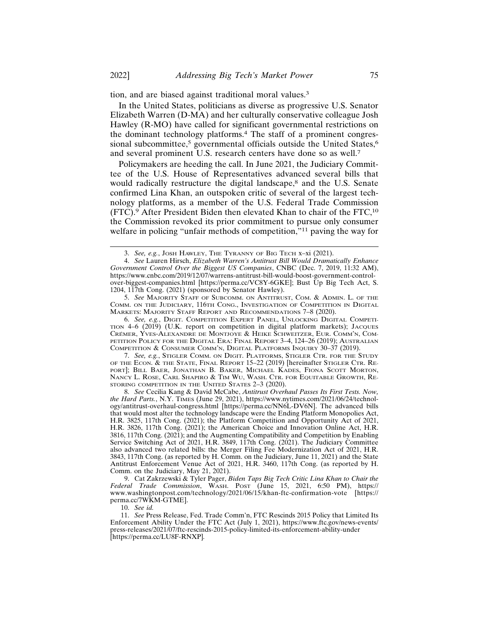tion, and are biased against traditional moral values.<sup>3</sup>

In the United States, politicians as diverse as progressive U.S. Senator Elizabeth Warren (D-MA) and her culturally conservative colleague Josh Hawley (R-MO) have called for significant governmental restrictions on the dominant technology platforms.4 The staff of a prominent congressional subcommittee,<sup>5</sup> governmental officials outside the United States,<sup>6</sup> and several prominent U.S. research centers have done so as well.<sup>7</sup>

Policymakers are heeding the call. In June 2021, the Judiciary Committee of the U.S. House of Representatives advanced several bills that would radically restructure the digital landscape,<sup>8</sup> and the U.S. Senate confirmed Lina Khan, an outspoken critic of several of the largest technology platforms, as a member of the U.S. Federal Trade Commission (FTC).9 After President Biden then elevated Khan to chair of the FTC,10 the Commission revoked its prior commitment to pursue only consumer welfare in policing "unfair methods of competition,"<sup>11</sup> paving the way for

5. *See* MAJORITY STAFF OF SUBCOMM. ON ANTITRUST, COM. & ADMIN. L. OF THE COMM. ON THE JUDICIARY, 116TH CONG., INVESTIGATION OF COMPETITION IN DIGITAL MARKETS: MAJORITY STAFF REPORT AND RECOMMENDATIONS 7–8 (2020).

6. *See, e.g.*, DIGIT. COMPETITION EXPERT PANEL, UNLOCKING DIGITAL COMPETI-TION 4–6 (2019) (U.K. report on competition in digital platform markets); JACQUES CRÉMER, YVES-ALEXANDRE DE MONTJOYE & HEIKE SCHWEITZER, EUR. COMM'N, COM-PETITION POLICY FOR THE DIGITAL ERA: FINAL REPORT 3–4, 124–26 (2019); AUSTRALIAN COMPETITION & CONSUMER COMM'N, DIGITAL PLATFORMS INQUIRY 30–37 (2019).

7. *See, e.g.*, STIGLER COMM. ON DIGIT. PLATFORMS, STIGLER CTR. FOR THE STUDY OF THE ECON. & THE STATE, FINAL REPORT 15–22 (2019) [hereinafter STIGLER CTR. RE-PORT]; BILL BAER, JONATHAN B. BAKER, MICHAEL KADES, FIONA SCOTT MORTON, NANCY L. ROSE, CARL SHAPIRO & TIM WU, WASH. CTR. FOR EQUITABLE GROWTH, RE-STORING COMPETITION IN THE UNITED STATES 2–3 (2020).

8. *See* Cecilia Kang & David McCabe, *Antitrust Overhaul Passes Its First Tests. Now, the Hard Parts.*, N.Y. TIMES (June 29, 2021), https://www.nytimes.com/2021/06/24/technology/antitrust-overhaul-congress.html [https://perma.cc/NN6L-DV6N]. The advanced bills that would most alter the technology landscape were the Ending Platform Monopolies Act, H.R. 3825, 117th Cong. (2021); the Platform Competition and Opportunity Act of 2021, H.R. 3826, 117th Cong. (2021); the American Choice and Innovation Online Act, H.R. 3816, 117th Cong. (2021); and the Augmenting Compatibility and Competition by Enabling Service Switching Act of 2021, H.R. 3849, 117th Cong. (2021). The Judiciary Committee also advanced two related bills: the Merger Filing Fee Modernization Act of 2021, H.R. 3843, 117th Cong. (as reported by H. Comm. on the Judiciary, June 11, 2021) and the State Antitrust Enforcement Venue Act of 2021, H.R. 3460, 117th Cong. (as reported by H. Comm. on the Judiciary, May 21, 2021).

9. Cat Zakrzewski & Tyler Pager, *Biden Taps Big Tech Critic Lina Khan to Chair the Federal Trade Commission*, WASH. POST (June 15, 2021, 6:50 PM), https:// www.washingtonpost.com/technology/2021/06/15/khan-ftc-confirmation-vote [https:// perma.cc/7WKM-GTME].

10. *See id.*

11. *See* Press Release, Fed. Trade Comm'n, FTC Rescinds 2015 Policy that Limited Its Enforcement Ability Under the FTC Act (July 1, 2021), https://www.ftc.gov/news-events/ press-releases/2021/07/ftc-rescinds-2015-policy-limited-its-enforcement-ability-under [https://perma.cc/LU8F-RNXP]*.*

<sup>3.</sup> *See, e.g.*, JOSH HAWLEY, THE TYRANNY OF BIG TECH x–xi (2021).

<sup>4.</sup> *See* Lauren Hirsch, *Elizabeth Warren's Antitrust Bill Would Dramatically Enhance Government Control Over the Biggest US Companies*, CNBC (Dec. 7, 2019, 11:32 AM), https://www.cnbc.com/2019/12/07/warrens-antitrust-bill-would-boost-government-controlover-biggest-companies.html [https://perma.cc/VC8Y-6GKE]; Bust Up Big Tech Act, S. 1204, 117th Cong. (2021) (sponsored by Senator Hawley).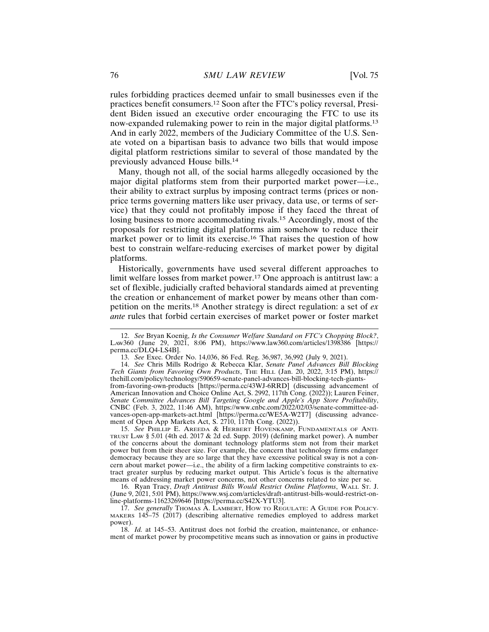rules forbidding practices deemed unfair to small businesses even if the practices benefit consumers.12 Soon after the FTC's policy reversal, President Biden issued an executive order encouraging the FTC to use its now-expanded rulemaking power to rein in the major digital platforms.<sup>13</sup> And in early 2022, members of the Judiciary Committee of the U.S. Senate voted on a bipartisan basis to advance two bills that would impose digital platform restrictions similar to several of those mandated by the previously advanced House bills.<sup>14</sup>

Many, though not all, of the social harms allegedly occasioned by the major digital platforms stem from their purported market power—i.e., their ability to extract surplus by imposing contract terms (prices or nonprice terms governing matters like user privacy, data use, or terms of service) that they could not profitably impose if they faced the threat of losing business to more accommodating rivals.15 Accordingly, most of the proposals for restricting digital platforms aim somehow to reduce their market power or to limit its exercise.16 That raises the question of how best to constrain welfare-reducing exercises of market power by digital platforms.

Historically, governments have used several different approaches to limit welfare losses from market power.<sup>17</sup> One approach is antitrust law: a set of flexible, judicially crafted behavioral standards aimed at preventing the creation or enhancement of market power by means other than competition on the merits.18 Another strategy is direct regulation: a set of *ex ante* rules that forbid certain exercises of market power or foster market

15. *See* PHILLIP E. AREEDA & HERBERT HOVENKAMP, FUNDAMENTALS OF ANTI-TRUST LAW § 5.01 (4th ed. 2017 & 2d ed. Supp. 2019) (defining market power). A number of the concerns about the dominant technology platforms stem not from their market power but from their sheer size. For example, the concern that technology firms endanger democracy because they are so large that they have excessive political sway is not a concern about market power—i.e., the ability of a firm lacking competitive constraints to extract greater surplus by reducing market output. This Article's focus is the alternative means of addressing market power concerns, not other concerns related to size per se.

16. Ryan Tracy, *Draft Antitrust Bills Would Restrict Online Platforms*, WALL ST. J. (June 9, 2021, 5:01 PM), https://www.wsj.com/articles/draft-antitrust-bills-would-restrict-online-platforms-11623269646 [https://perma.cc/S42X-YTU3].

17. *See generally* THOMAS A. LAMBERT, HOW TO REGULATE: A GUIDE FOR POLICY-MAKERS 145–75 (2017) (describing alternative remedies employed to address market power).

18. *Id.* at 145–53. Antitrust does not forbid the creation, maintenance, or enhancement of market power by procompetitive means such as innovation or gains in productive

<sup>12.</sup> *See* Bryan Koenig, *Is the Consumer Welfare Standard on FTC's Chopping Block?*, LAW360 (June 29, 2021, 8:06 PM), https://www.law360.com/articles/1398386 [https:// perma.cc/DLQ4-LS4B].

<sup>13.</sup> *See* Exec. Order No. 14,036, 86 Fed. Reg. 36,987, 36,992 (July 9, 2021).

<sup>14.</sup> *See* Chris Mills Rodrigo & Rebecca Klar, *Senate Panel Advances Bill Blocking Tech Giants from Favoring Own Products*, THE HILL (Jan. 20, 2022, 3:15 PM), https:// thehill.com/policy/technology/590659-senate-panel-advances-bill-blocking-tech-giantsfrom-favoring-own-products [https://perma.cc/43WJ-6RRD] (discussing advancement of American Innovation and Choice Online Act, S. 2992, 117th Cong. (2022)); Lauren Feiner, *Senate Committee Advances Bill Targeting Google and Apple's App Store Profitability*, CNBC (Feb. 3, 2022, 11:46 AM), https://www.cnbc.com/2022/02/03/senate-committee-advances-open-app-markets-act.html [https://perma.cc/WE5A-W2T7] (discussing advancement of Open App Markets Act, S. 2710, 117th Cong. (2022)).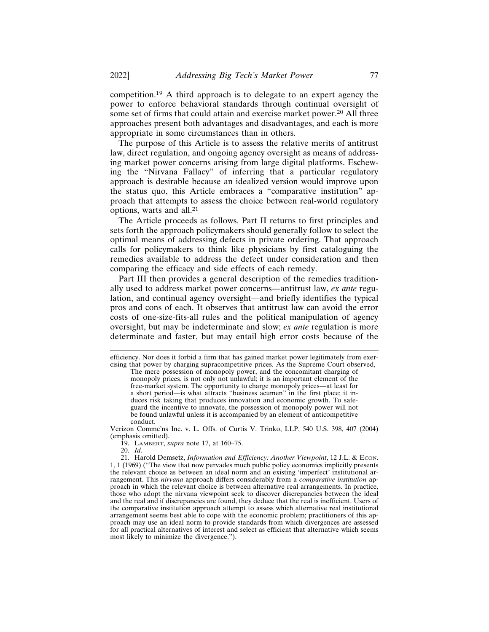competition.19 A third approach is to delegate to an expert agency the power to enforce behavioral standards through continual oversight of some set of firms that could attain and exercise market power.<sup>20</sup> All three approaches present both advantages and disadvantages, and each is more appropriate in some circumstances than in others.

The purpose of this Article is to assess the relative merits of antitrust law, direct regulation, and ongoing agency oversight as means of addressing market power concerns arising from large digital platforms. Eschewing the "Nirvana Fallacy" of inferring that a particular regulatory approach is desirable because an idealized version would improve upon the status quo, this Article embraces a "comparative institution" approach that attempts to assess the choice between real-world regulatory options, warts and all.<sup>21</sup>

The Article proceeds as follows. Part II returns to first principles and sets forth the approach policymakers should generally follow to select the optimal means of addressing defects in private ordering. That approach calls for policymakers to think like physicians by first cataloguing the remedies available to address the defect under consideration and then comparing the efficacy and side effects of each remedy.

Part III then provides a general description of the remedies traditionally used to address market power concerns—antitrust law, *ex ante* regulation, and continual agency oversight—and briefly identifies the typical pros and cons of each. It observes that antitrust law can avoid the error costs of one-size-fits-all rules and the political manipulation of agency oversight, but may be indeterminate and slow; *ex ante* regulation is more determinate and faster, but may entail high error costs because of the

Verizon Commc'ns Inc. v. L. Offs. of Curtis V. Trinko, LLP, 540 U.S. 398, 407 (2004) (emphasis omitted).

19. LAMBERT, *supra* note 17, at 160–75.

20. *Id.*

efficiency. Nor does it forbid a firm that has gained market power legitimately from exercising that power by charging supracompetitive prices. As the Supreme Court observed,

The mere possession of monopoly power, and the concomitant charging of monopoly prices, is not only not unlawful; it is an important element of the free-market system. The opportunity to charge monopoly prices—at least for a short period—is what attracts "business acumen" in the first place; it induces risk taking that produces innovation and economic growth. To safeguard the incentive to innovate, the possession of monopoly power will not be found unlawful unless it is accompanied by an element of anticompetitive conduct.

<sup>21.</sup> Harold Demsetz, *Information and Efficiency: Another Viewpoint*, 12 J.L. & ECON. 1, 1 (1969) ("The view that now pervades much public policy economics implicitly presents the relevant choice as between an ideal norm and an existing 'imperfect' institutional arrangement. This *nirvana* approach differs considerably from a *comparative institution* approach in which the relevant choice is between alternative real arrangements. In practice, those who adopt the nirvana viewpoint seek to discover discrepancies between the ideal and the real and if discrepancies are found, they deduce that the real is inefficient. Users of the comparative institution approach attempt to assess which alternative real institutional arrangement seems best able to cope with the economic problem; practitioners of this approach may use an ideal norm to provide standards from which divergences are assessed for all practical alternatives of interest and select as efficient that alternative which seems most likely to minimize the divergence.").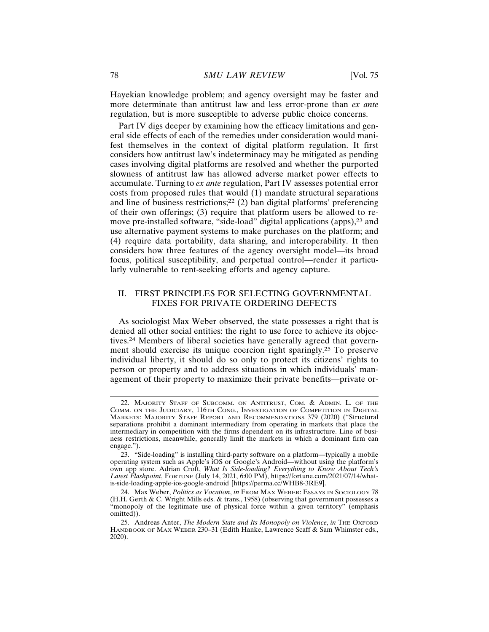Hayekian knowledge problem; and agency oversight may be faster and more determinate than antitrust law and less error-prone than *ex ante* regulation, but is more susceptible to adverse public choice concerns.

Part IV digs deeper by examining how the efficacy limitations and general side effects of each of the remedies under consideration would manifest themselves in the context of digital platform regulation. It first considers how antitrust law's indeterminacy may be mitigated as pending cases involving digital platforms are resolved and whether the purported slowness of antitrust law has allowed adverse market power effects to accumulate. Turning to *ex ante* regulation, Part IV assesses potential error costs from proposed rules that would (1) mandate structural separations and line of business restrictions;<sup>22</sup> (2) ban digital platforms' preferencing of their own offerings; (3) require that platform users be allowed to remove pre-installed software, "side-load" digital applications (apps),<sup>23</sup> and use alternative payment systems to make purchases on the platform; and (4) require data portability, data sharing, and interoperability. It then considers how three features of the agency oversight model—its broad focus, political susceptibility, and perpetual control—render it particularly vulnerable to rent-seeking efforts and agency capture.

## II. FIRST PRINCIPLES FOR SELECTING GOVERNMENTAL FIXES FOR PRIVATE ORDERING DEFECTS

As sociologist Max Weber observed, the state possesses a right that is denied all other social entities: the right to use force to achieve its objectives.24 Members of liberal societies have generally agreed that government should exercise its unique coercion right sparingly.25 To preserve individual liberty, it should do so only to protect its citizens' rights to person or property and to address situations in which individuals' management of their property to maximize their private benefits—private or-

<sup>22.</sup> MAJORITY STAFF OF SUBCOMM. ON ANTITRUST, COM. & ADMIN. L. OF THE COMM. ON THE JUDICIARY, 116TH CONG., INVESTIGATION OF COMPETITION IN DIGITAL MARKETS: MAJORITY STAFF REPORT AND RECOMMENDATIONS 379 (2020) ("Structural separations prohibit a dominant intermediary from operating in markets that place the intermediary in competition with the firms dependent on its infrastructure. Line of business restrictions, meanwhile, generally limit the markets in which a dominant firm can engage.").

<sup>23. &</sup>quot;Side-loading" is installing third-party software on a platform—typically a mobile operating system such as Apple's iOS or Google's Android—without using the platform's own app store. Adrian Croft, *What Is Side-loading? Everything to Know About Tech's Latest Flashpoint*, FORTUNE (July 14, 2021, 6:00 PM), https://fortune.com/2021/07/14/whatis-side-loading-apple-ios-google-android [https://perma.cc/WHB8-3RE9].

<sup>24.</sup> Max Weber, *Politics as Vocation*, *in* FROM MAX WEBER: ESSAYS IN SOCIOLOGY 78 (H.H. Gerth & C. Wright Mills eds. & trans., 1958) (observing that government possesses a "monopoly of the legitimate use of physical force within a given territory" (emphasis omitted)).

<sup>25.</sup> Andreas Anter, *The Modern State and Its Monopoly on Violence*, *in* THE OXFORD HANDBOOK OF MAX WEBER 230-31 (Edith Hanke, Lawrence Scaff & Sam Whimster eds., 2020).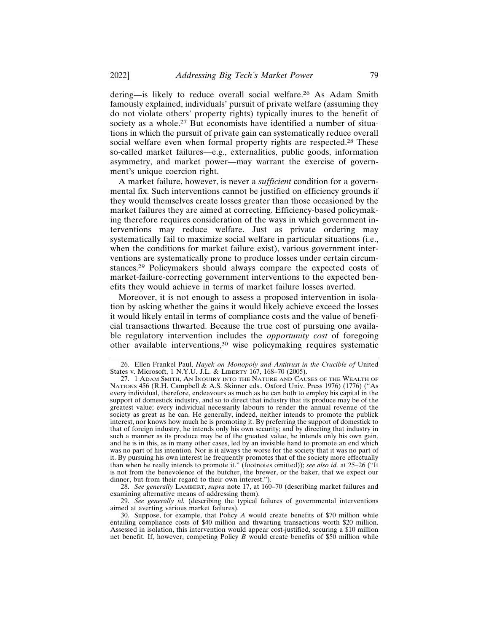dering—is likely to reduce overall social welfare.26 As Adam Smith famously explained, individuals' pursuit of private welfare (assuming they do not violate others' property rights) typically inures to the benefit of society as a whole.<sup>27</sup> But economists have identified a number of situations in which the pursuit of private gain can systematically reduce overall social welfare even when formal property rights are respected.<sup>28</sup> These so-called market failures—e.g., externalities, public goods, information asymmetry, and market power—may warrant the exercise of government's unique coercion right.

A market failure, however, is never a *sufficient* condition for a governmental fix. Such interventions cannot be justified on efficiency grounds if they would themselves create losses greater than those occasioned by the market failures they are aimed at correcting. Efficiency-based policymaking therefore requires consideration of the ways in which government interventions may reduce welfare. Just as private ordering may systematically fail to maximize social welfare in particular situations (i.e., when the conditions for market failure exist), various government interventions are systematically prone to produce losses under certain circumstances.29 Policymakers should always compare the expected costs of market-failure-correcting government interventions to the expected benefits they would achieve in terms of market failure losses averted.

Moreover, it is not enough to assess a proposed intervention in isolation by asking whether the gains it would likely achieve exceed the losses it would likely entail in terms of compliance costs and the value of beneficial transactions thwarted. Because the true cost of pursuing one available regulatory intervention includes the *opportunity cost* of foregoing other available interventions,30 wise policymaking requires systematic

28. *See generally* LAMBERT, *supra* note 17, at 160–70 (describing market failures and examining alternative means of addressing them).

29. *See generally id.* (describing the typical failures of governmental interventions aimed at averting various market failures).

30. Suppose, for example, that Policy *A* would create benefits of \$70 million while entailing compliance costs of \$40 million and thwarting transactions worth \$20 million. Assessed in isolation, this intervention would appear cost-justified, securing a \$10 million net benefit. If, however, competing Policy *B* would create benefits of \$50 million while

<sup>26.</sup> Ellen Frankel Paul, *Hayek on Monopoly and Antitrust in the Crucible of* United States v. Microsoft, 1 N.Y.U. J.L. & LIBERTY 167, 168–70 (2005).

<sup>27. 1</sup> ADAM SMITH, AN INQUIRY INTO THE NATURE AND CAUSES OF THE WEALTH OF NATIONS 456 (R.H. Campbell & A.S. Skinner eds., Oxford Univ. Press 1976) (1776) ("As every individual, therefore, endeavours as much as he can both to employ his capital in the support of domestick industry, and so to direct that industry that its produce may be of the greatest value; every individual necessarily labours to render the annual revenue of the society as great as he can. He generally, indeed, neither intends to promote the publick interest, nor knows how much he is promoting it. By preferring the support of domestick to that of foreign industry, he intends only his own security; and by directing that industry in such a manner as its produce may be of the greatest value, he intends only his own gain, and he is in this, as in many other cases, led by an invisible hand to promote an end which was no part of his intention. Nor is it always the worse for the society that it was no part of it. By pursuing his own interest he frequently promotes that of the society more effectually than when he really intends to promote it." (footnotes omitted)); *see also id.* at 25–26 ("It is not from the benevolence of the butcher, the brewer, or the baker, that we expect our dinner, but from their regard to their own interest.").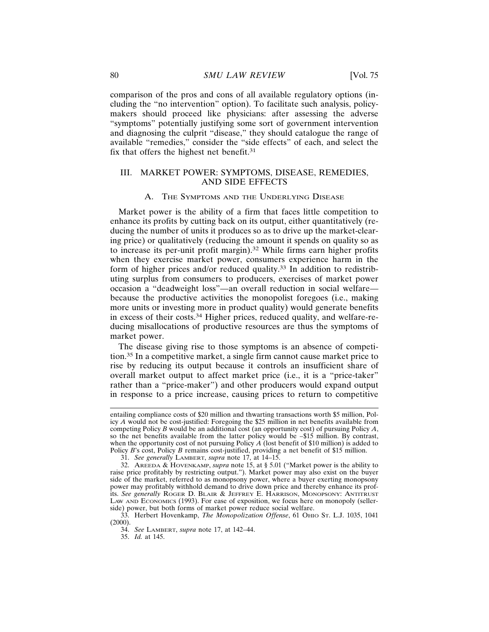comparison of the pros and cons of all available regulatory options (including the "no intervention" option). To facilitate such analysis, policymakers should proceed like physicians: after assessing the adverse "symptoms" potentially justifying some sort of government intervention and diagnosing the culprit "disease," they should catalogue the range of available "remedies," consider the "side effects" of each, and select the fix that offers the highest net benefit.<sup>31</sup>

#### III. MARKET POWER: SYMPTOMS, DISEASE, REMEDIES, AND SIDE EFFECTS

#### A. THE SYMPTOMS AND THE UNDERLYING DISEASE

Market power is the ability of a firm that faces little competition to enhance its profits by cutting back on its output, either quantitatively (reducing the number of units it produces so as to drive up the market-clearing price) or qualitatively (reducing the amount it spends on quality so as to increase its per-unit profit margin).32 While firms earn higher profits when they exercise market power, consumers experience harm in the form of higher prices and/or reduced quality.33 In addition to redistributing surplus from consumers to producers, exercises of market power occasion a "deadweight loss"—an overall reduction in social welfare because the productive activities the monopolist foregoes (i.e., making more units or investing more in product quality) would generate benefits in excess of their costs.34 Higher prices, reduced quality, and welfare-reducing misallocations of productive resources are thus the symptoms of market power.

The disease giving rise to those symptoms is an absence of competition.35 In a competitive market, a single firm cannot cause market price to rise by reducing its output because it controls an insufficient share of overall market output to affect market price (i.e., it is a "price-taker" rather than a "price-maker") and other producers would expand output in response to a price increase, causing prices to return to competitive

entailing compliance costs of \$20 million and thwarting transactions worth \$5 million, Policy *A* would not be cost-justified: Foregoing the \$25 million in net benefits available from competing Policy *B* would be an additional cost (an opportunity cost) of pursuing Policy *A*, so the net benefits available from the latter policy would be –\$15 million. By contrast, when the opportunity cost of not pursuing Policy *A* (lost benefit of \$10 million) is added to Policy *B*'s cost, Policy *B* remains cost-justified, providing a net benefit of \$15 million.

<sup>31.</sup> *See generally* LAMBERT, *supra* note 17, at 14–15.

<sup>32.</sup> AREEDA & HOVENKAMP, *supra* note 15, at § 5.01 ("Market power is the ability to raise price profitably by restricting output."). Market power may also exist on the buyer side of the market, referred to as monopsony power, where a buyer exerting monopsony power may profitably withhold demand to drive down price and thereby enhance its profits. *See generally* ROGER D. BLAIR & JEFFREY E. HARRISON, MONOPSONY: ANTITRUST LAW AND ECONOMICS (1993). For ease of exposition, we focus here on monopoly (sellerside) power, but both forms of market power reduce social welfare.

<sup>33.</sup> Herbert Hovenkamp, *The Monopolization Offense*, 61 OHIO ST. L.J. 1035, 1041 (2000).

<sup>34.</sup> *See* LAMBERT, *supra* note 17, at 142–44.

<sup>35.</sup> *Id.* at 145.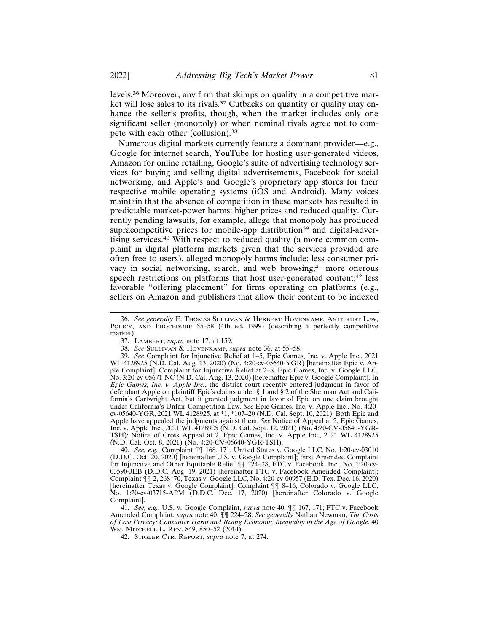levels.36 Moreover, any firm that skimps on quality in a competitive market will lose sales to its rivals.<sup>37</sup> Cutbacks on quantity or quality may enhance the seller's profits, though, when the market includes only one significant seller (monopoly) or when nominal rivals agree not to compete with each other (collusion).<sup>38</sup>

Numerous digital markets currently feature a dominant provider—e.g., Google for internet search, YouTube for hosting user-generated videos, Amazon for online retailing, Google's suite of advertising technology services for buying and selling digital advertisements, Facebook for social networking, and Apple's and Google's proprietary app stores for their respective mobile operating systems (iOS and Android). Many voices maintain that the absence of competition in these markets has resulted in predictable market-power harms: higher prices and reduced quality. Currently pending lawsuits, for example, allege that monopoly has produced supracompetitive prices for mobile-app distribution<sup>39</sup> and digital-advertising services.40 With respect to reduced quality (a more common complaint in digital platform markets given that the services provided are often free to users), alleged monopoly harms include: less consumer privacy in social networking, search, and web browsing;<sup>41</sup> more onerous speech restrictions on platforms that host user-generated content;<sup>42</sup> less favorable "offering placement" for firms operating on platforms (e.g., sellers on Amazon and publishers that allow their content to be indexed

<sup>36.</sup> *See generally* E. THOMAS SULLIVAN & HERBERT HOVENKAMP, ANTITRUST LAW, POLICY, AND PROCEDURE 55–58 (4th ed. 1999) (describing a perfectly competitive market).

<sup>37.</sup> LAMBERT, *supra* note 17, at 159.

<sup>38.</sup> *See* SULLIVAN & HOVENKAMP, *supra* note 36, at 55–58.

<sup>39.</sup> *See* Complaint for Injunctive Relief at 1–5, Epic Games, Inc. v. Apple Inc., 2021 WL 4128925 (N.D. Cal. Aug. 13, 2020) (No. 4:20-cv-05640-YGR) [hereinafter Epic v. Apple Complaint]; Complaint for Injunctive Relief at 2–8, Epic Games, Inc. v. Google LLC, No. 3:20-cv-05671-NC (N.D. Cal. Aug. 13, 2020) [hereinafter Epic v. Google Complaint]. In *Epic Games, Inc. v. Apple Inc.*, the district court recently entered judgment in favor of defendant Apple on plaintiff Epic's claims under § 1 and § 2 of the Sherman Act and California's Cartwright Act, but it granted judgment in favor of Epic on one claim brought under California's Unfair Competition Law. *See* Epic Games, Inc. v. Apple Inc., No. 4:20 cv-05640-YGR, 2021 WL 4128925, at \*1, \*107–20 (N.D. Cal. Sept. 10, 2021). Both Epic and Apple have appealed the judgments against them. *See* Notice of Appeal at 2, Epic Games, Inc. v. Apple Inc., 2021 WL 4128925 (N.D. Cal. Sept. 12, 2021) (No. 4:20-CV-05640-YGR-TSH); Notice of Cross Appeal at 2, Epic Games, Inc. v. Apple Inc., 2021 WL 4128925 (N.D. Cal. Oct. 8, 2021) (No. 4:20-CV-05640-YGR-TSH).

<sup>40.</sup> *See, e.g.*, Complaint ¶¶ 168, 171, United States v. Google LLC, No. 1:20-cv-03010 (D.D.C. Oct. 20, 2020) [hereinafter U.S. v. Google Complaint]; First Amended Complaint for Injunctive and Other Equitable Relief ¶¶ 224–28, FTC v. Facebook, Inc., No. 1:20-cv-03590-JEB (D.D.C. Aug. 19, 2021) [hereinafter FTC v. Facebook Amended Complaint]; Complaint ¶¶ 2, 268–70, Texas v. Google LLC, No. 4:20-cv-00957 (E.D. Tex. Dec. 16, 2020) [hereinafter Texas v. Google Complaint]; Complaint ¶¶ 8–16, Colorado v. Google LLC, No. 1:20-cv-03715-APM (D.D.C. Dec. 17, 2020) [hereinafter Colorado v. Google Complaint].

<sup>41.</sup> *See, e.g.*, U.S. v. Google Complaint, *supra* note 40, ¶¶ 167, 171; FTC v. Facebook Amended Complaint, *supra* note 40, ¶¶ 224–28. *See generally* Nathan Newman, *The Costs of Lost Privacy: Consumer Harm and Rising Economic Inequality in the Age of Google*, 40 WM. MITCHELL L. REV. 849, 850–52 (2014).

<sup>42.</sup> STIGLER CTR. REPORT, *supra* note 7, at 274.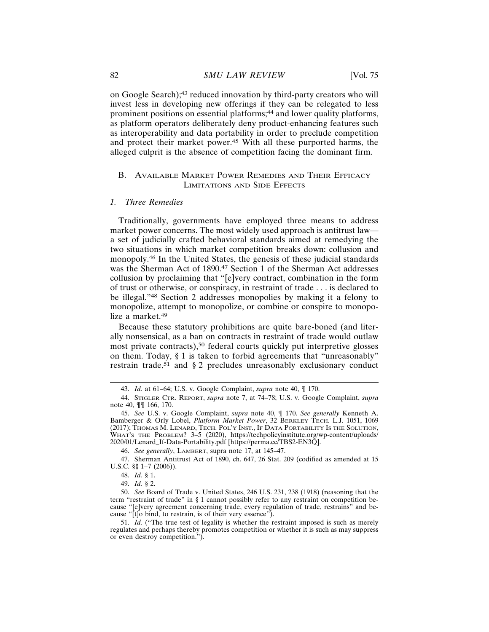on Google Search);43 reduced innovation by third-party creators who will invest less in developing new offerings if they can be relegated to less prominent positions on essential platforms;<sup>44</sup> and lower quality platforms, as platform operators deliberately deny product-enhancing features such as interoperability and data portability in order to preclude competition and protect their market power.45 With all these purported harms, the alleged culprit is the absence of competition facing the dominant firm.

#### B. AVAILABLE MARKET POWER REMEDIES AND THEIR EFFICACY LIMITATIONS AND SIDE EFFECTS

#### *1. Three Remedies*

Traditionally, governments have employed three means to address market power concerns. The most widely used approach is antitrust law a set of judicially crafted behavioral standards aimed at remedying the two situations in which market competition breaks down: collusion and monopoly.46 In the United States, the genesis of these judicial standards was the Sherman Act of 1890.<sup>47</sup> Section 1 of the Sherman Act addresses collusion by proclaiming that "[e]very contract, combination in the form of trust or otherwise, or conspiracy, in restraint of trade . . . is declared to be illegal."48 Section 2 addresses monopolies by making it a felony to monopolize, attempt to monopolize, or combine or conspire to monopolize a market.<sup>49</sup>

Because these statutory prohibitions are quite bare-boned (and literally nonsensical, as a ban on contracts in restraint of trade would outlaw most private contracts),<sup>50</sup> federal courts quickly put interpretive glosses on them. Today, § 1 is taken to forbid agreements that "unreasonably" restrain trade,<sup>51</sup> and  $\S 2$  precludes unreasonably exclusionary conduct

<sup>43.</sup> *Id.* at 61–64; U.S. v. Google Complaint, *supra* note 40, ¶ 170.

<sup>44.</sup> STIGLER CTR. REPORT, *supra* note 7, at 74–78; U.S. v. Google Complaint, *supra* note 40, ¶¶ 166, 170.

<sup>45.</sup> *See* U.S. v. Google Complaint, *supra* note 40, ¶ 170. *See generally* Kenneth A. Bamberger & Orly Lobel, *Platform Market Power*, 32 BERKLEY TECH. L.J. 1051, 1069 (2017); THOMAS M. LENARD, TECH. POL'Y INST., IF DATA PORTABILITY IS THE SOLUTION, WHAT'S THE PROBLEM? 3–5 (2020), https://techpolicyinstitute.org/wp-content/uploads/ 2020/01/Lenard\_If-Data-Portability.pdf [https://perma.cc/TBS2-EN3Q].

<sup>46.</sup> *See generally*, LAMBERT, supra note 17, at 145–47.

<sup>47.</sup> Sherman Antitrust Act of 1890, ch. 647, 26 Stat. 209 (codified as amended at 15 U.S.C. §§ 1–7 (2006)).

<sup>48.</sup> *Id.* § 1.

<sup>49.</sup> *Id.* § 2.

<sup>50.</sup> *See* Board of Trade v. United States, 246 U.S. 231, 238 (1918) (reasoning that the term "restraint of trade" in § 1 cannot possibly refer to any restraint on competition because "[e]very agreement concerning trade, every regulation of trade, restrains" and because "[t]o bind, to restrain, is of their very essence").

<sup>51.</sup> *Id.* ("The true test of legality is whether the restraint imposed is such as merely regulates and perhaps thereby promotes competition or whether it is such as may suppress or even destroy competition.").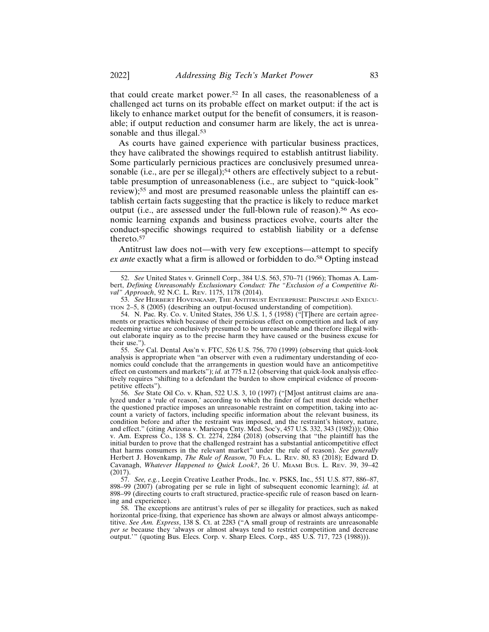that could create market power.52 In all cases, the reasonableness of a challenged act turns on its probable effect on market output: if the act is likely to enhance market output for the benefit of consumers, it is reasonable; if output reduction and consumer harm are likely, the act is unreasonable and thus illegal.<sup>53</sup>

As courts have gained experience with particular business practices, they have calibrated the showings required to establish antitrust liability. Some particularly pernicious practices are conclusively presumed unreasonable (i.e., are per se illegal);<sup>54</sup> others are effectively subject to a rebuttable presumption of unreasonableness (i.e., are subject to "quick-look" review);55 and most are presumed reasonable unless the plaintiff can establish certain facts suggesting that the practice is likely to reduce market output (i.e., are assessed under the full-blown rule of reason).<sup>56</sup> As economic learning expands and business practices evolve, courts alter the conduct-specific showings required to establish liability or a defense thereto.57

Antitrust law does not—with very few exceptions—attempt to specify *ex ante* exactly what a firm is allowed or forbidden to do.<sup>58</sup> Opting instead

55. *See* Cal. Dental Ass'n v. FTC, 526 U.S. 756, 770 (1999) (observing that quick-look analysis is appropriate when "an observer with even a rudimentary understanding of economics could conclude that the arrangements in question would have an anticompetitive effect on customers and markets"); *id.* at 775 n.12 (observing that quick-look analysis effectively requires "shifting to a defendant the burden to show empirical evidence of procompetitive effects").

56. *See* State Oil Co. v. Khan, 522 U.S. 3, 10 (1997) ("[M]ost antitrust claims are analyzed under a 'rule of reason,' according to which the finder of fact must decide whether the questioned practice imposes an unreasonable restraint on competition, taking into account a variety of factors, including specific information about the relevant business, its condition before and after the restraint was imposed, and the restraint's history, nature, and effect." (citing Arizona v. Maricopa Cnty. Med. Soc'y, 457 U.S. 332, 343 (1982))); Ohio v. Am. Express  $\overline{C}$ o., 138 S. Ct. 2274, 2284 (2018) (observing that "the plaintiff has the initial burden to prove that the challenged restraint has a substantial anticompetitive effect that harms consumers in the relevant market" under the rule of reason). *See generally* Herbert J. Hovenkamp, *The Rule of Reason*, 70 FLA. L. REV. 80, 83 (2018); Edward D. Cavanagh, *Whatever Happened to Quick Look?*, 26 U. MIAMI BUS. L. REV. 39, 39–42 (2017).

57. *See, e.g.*, Leegin Creative Leather Prods., Inc. v. PSKS, Inc., 551 U.S. 877, 886–87, 898–99 (2007) (abrogating per se rule in light of subsequent economic learning); *id.* at 898–99 (directing courts to craft structured, practice-specific rule of reason based on learning and experience).

58. The exceptions are antitrust's rules of per se illegality for practices, such as naked horizontal price-fixing, that experience has shown are always or almost always anticompetitive. *See Am. Express*, 138 S. Ct. at 2283 ("A small group of restraints are unreasonable *per se* because they 'always or almost always tend to restrict competition and decrease output.'" (quoting Bus. Elecs. Corp. v. Sharp Elecs. Corp., 485 U.S. 717, 723 (1988))).

<sup>52.</sup> *See* United States v. Grinnell Corp., 384 U.S. 563, 570–71 (1966); Thomas A. Lambert, *Defining Unreasonably Exclusionary Conduct: The "Exclusion of a Competitive Rival" Approach*, 92 N.C. L. REV. 1175, 1178 (2014).

<sup>53.</sup> *See* HERBERT HOVENKAMP, THE ANTITRUST ENTERPRISE: PRINCIPLE AND EXECU-TION 2–5, 8 (2005) (describing an output-focused understanding of competition).

<sup>54.</sup> N. Pac. Ry. Co. v. United States, 356 U.S. 1, 5 (1958) ("[T]here are certain agreements or practices which because of their pernicious effect on competition and lack of any redeeming virtue are conclusively presumed to be unreasonable and therefore illegal without elaborate inquiry as to the precise harm they have caused or the business excuse for their use.").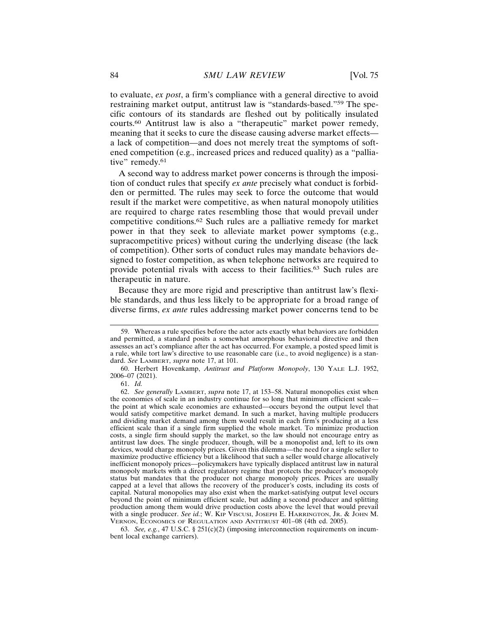to evaluate, *ex post*, a firm's compliance with a general directive to avoid restraining market output, antitrust law is "standards-based."59 The specific contours of its standards are fleshed out by politically insulated courts.60 Antitrust law is also a "therapeutic" market power remedy, meaning that it seeks to cure the disease causing adverse market effects a lack of competition—and does not merely treat the symptoms of softened competition (e.g., increased prices and reduced quality) as a "palliative" remedy.<sup>61</sup>

A second way to address market power concerns is through the imposition of conduct rules that specify *ex ante* precisely what conduct is forbidden or permitted. The rules may seek to force the outcome that would result if the market were competitive, as when natural monopoly utilities are required to charge rates resembling those that would prevail under competitive conditions.62 Such rules are a palliative remedy for market power in that they seek to alleviate market power symptoms (e.g., supracompetitive prices) without curing the underlying disease (the lack of competition). Other sorts of conduct rules may mandate behaviors designed to foster competition, as when telephone networks are required to provide potential rivals with access to their facilities.63 Such rules are therapeutic in nature.

Because they are more rigid and prescriptive than antitrust law's flexible standards, and thus less likely to be appropriate for a broad range of diverse firms, *ex ante* rules addressing market power concerns tend to be

63. *See, e.g.*, 47 U.S.C. § 251(c)(2) (imposing interconnection requirements on incumbent local exchange carriers).

<sup>59.</sup> Whereas a rule specifies before the actor acts exactly what behaviors are forbidden and permitted, a standard posits a somewhat amorphous behavioral directive and then assesses an act's compliance after the act has occurred. For example, a posted speed limit is a rule, while tort law's directive to use reasonable care (i.e., to avoid negligence) is a standard. *See* LAMBERT, *supra* note 17, at 101.

<sup>60.</sup> Herbert Hovenkamp, *Antitrust and Platform Monopoly*, 130 YALE L.J. 1952, 2006–07 (2021).

<sup>61.</sup> *Id.*

<sup>62.</sup> *See generally* LAMBERT, *supra* note 17, at 153–58. Natural monopolies exist when the economies of scale in an industry continue for so long that minimum efficient scale the point at which scale economies are exhausted—occurs beyond the output level that would satisfy competitive market demand. In such a market, having multiple producers and dividing market demand among them would result in each firm's producing at a less efficient scale than if a single firm supplied the whole market. To minimize production costs, a single firm should supply the market, so the law should not encourage entry as antitrust law does. The single producer, though, will be a monopolist and, left to its own devices, would charge monopoly prices. Given this dilemma—the need for a single seller to maximize productive efficiency but a likelihood that such a seller would charge allocatively inefficient monopoly prices—policymakers have typically displaced antitrust law in natural monopoly markets with a direct regulatory regime that protects the producer's monopoly status but mandates that the producer not charge monopoly prices. Prices are usually capped at a level that allows the recovery of the producer's costs, including its costs of capital. Natural monopolies may also exist when the market-satisfying output level occurs beyond the point of minimum efficient scale, but adding a second producer and splitting production among them would drive production costs above the level that would prevail with a single producer. See id.; W. KIP VISCUSI, JOSEPH E. HARRINGTON, JR. & JOHN M. VERNON, ECONOMICS OF REGULATION AND ANTITRUST 401–08 (4th ed. 2005).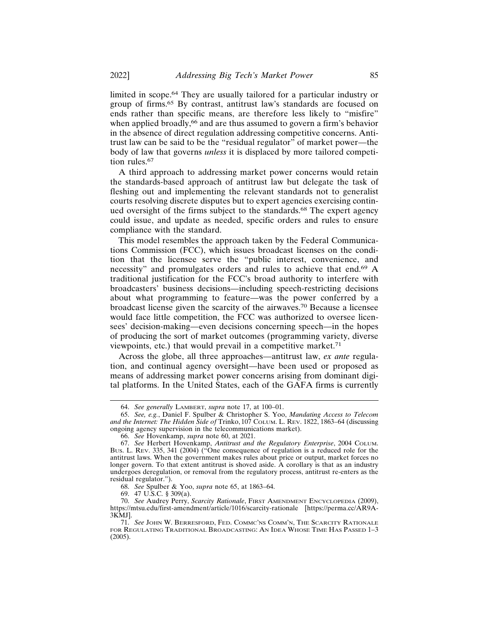limited in scope.64 They are usually tailored for a particular industry or group of firms.65 By contrast, antitrust law's standards are focused on ends rather than specific means, are therefore less likely to "misfire" when applied broadly,<sup>66</sup> and are thus assumed to govern a firm's behavior in the absence of direct regulation addressing competitive concerns. Antitrust law can be said to be the "residual regulator" of market power—the body of law that governs *unless* it is displaced by more tailored competition rules.<sup>67</sup>

A third approach to addressing market power concerns would retain the standards-based approach of antitrust law but delegate the task of fleshing out and implementing the relevant standards not to generalist courts resolving discrete disputes but to expert agencies exercising continued oversight of the firms subject to the standards.<sup>68</sup> The expert agency could issue, and update as needed, specific orders and rules to ensure compliance with the standard.

This model resembles the approach taken by the Federal Communications Commission (FCC), which issues broadcast licenses on the condition that the licensee serve the "public interest, convenience, and necessity" and promulgates orders and rules to achieve that end.69 A traditional justification for the FCC's broad authority to interfere with broadcasters' business decisions—including speech-restricting decisions about what programming to feature—was the power conferred by a broadcast license given the scarcity of the airwaves.70 Because a licensee would face little competition, the FCC was authorized to oversee licensees' decision-making—even decisions concerning speech—in the hopes of producing the sort of market outcomes (programming variety, diverse viewpoints, etc.) that would prevail in a competitive market.<sup>71</sup>

Across the globe, all three approaches—antitrust law, *ex ante* regulation, and continual agency oversight—have been used or proposed as means of addressing market power concerns arising from dominant digital platforms. In the United States, each of the GAFA firms is currently

68. *See* Spulber & Yoo, *supra* note 65, at 1863–64.

<sup>64.</sup> *See generally* LAMBERT, *supra* note 17, at 100–01.

<sup>65.</sup> *See, e.g.*, Daniel F. Spulber & Christopher S. Yoo, *Mandating Access to Telecom and the Internet: The Hidden Side of* Trinko, 107 COLUM. L. REV. 1822, 1863–64 (discussing ongoing agency supervision in the telecommunications market).

<sup>66.</sup> *See* Hovenkamp, *supra* note 60, at 2021.

<sup>67.</sup> *See* Herbert Hovenkamp, *Antitrust and the Regulatory Enterprise*, 2004 COLUM. BUS. L. REV. 335, 341 (2004) ("One consequence of regulation is a reduced role for the antitrust laws. When the government makes rules about price or output, market forces no longer govern. To that extent antitrust is shoved aside. A corollary is that as an industry undergoes deregulation, or removal from the regulatory process, antitrust re-enters as the residual regulator.").

<sup>69. 47</sup> U.S.C. § 309(a).

<sup>70.</sup> *See* Audrey Perry, *Scarcity Rationale*, FIRST AMENDMENT ENCYCLOPEDIA (2009), https://mtsu.edu/first-amendment/article/1016/scarcity-rationale [https://perma.cc/AR9A-3KMJ].

<sup>71.</sup> *See* JOHN W. BERRESFORD, FED. COMMC'NS COMM'N, THE SCARCITY RATIONALE FOR REGULATING TRADITIONAL BROADCASTING: AN IDEA WHOSE TIME HAS PASSED 1–3 (2005).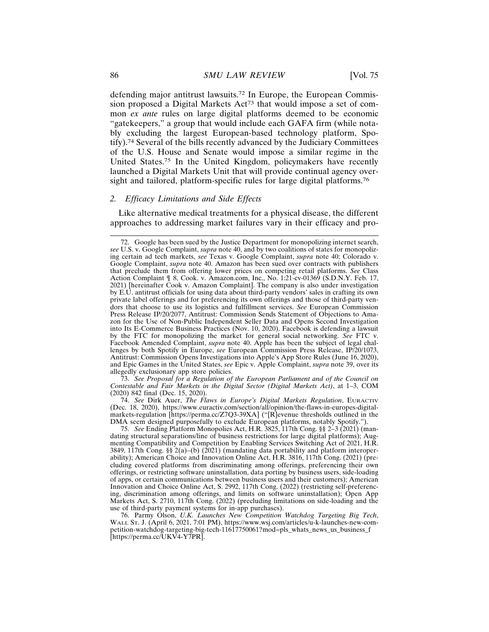defending major antitrust lawsuits.72 In Europe, the European Commission proposed a Digital Markets Act73 that would impose a set of common *ex ante* rules on large digital platforms deemed to be economic "gatekeepers," a group that would include each GAFA firm (while notably excluding the largest European-based technology platform, Spotify).74 Several of the bills recently advanced by the Judiciary Committees of the U.S. House and Senate would impose a similar regime in the United States.75 In the United Kingdom, policymakers have recently launched a Digital Markets Unit that will provide continual agency oversight and tailored, platform-specific rules for large digital platforms.<sup>76</sup>

## *2. Efficacy Limitations and Side Effects*

Like alternative medical treatments for a physical disease, the different approaches to addressing market failures vary in their efficacy and pro-

73. *See Proposal for a Regulation of the European Parliament and of the Council on Contestable and Fair Markets in the Digital Sector (Digital Markets Act)*, at 1–3, COM (2020) 842 final (Dec. 15, 2020).

74. *See* Dirk Auer, *The Flaws in Europe's Digital Markets Regulation*, EURACTIV (Dec. 18, 2020), https://www.euractiv.com/section/all/opinion/the-flaws-in-europes-digitalmarkets-regulation [https://perma.cc/Z7Q3-39XA] ("[R]evenue thresholds outlined in the DMA seem designed purposefully to exclude European platforms, notably Spotify.").

75. *See* Ending Platform Monopolies Act, H.R. 3825, 117th Cong. §§ 2–3 (2021) (mandating structural separations/line of business restrictions for large digital platforms); Augmenting Compatibility and Competition by Enabling Services Switching Act of 2021, H.R. 3849, 117th Cong. §§ 2(a)–(b) (2021) (mandating data portability and platform interoperability); American Choice and Innovation Online Act, H.R. 3816, 117th Cong. (2021) (precluding covered platforms from discriminating among offerings, preferencing their own offerings, or restricting software uninstallation, data porting by business users, side-loading of apps, or certain communications between business users and their customers); American Innovation and Choice Online Act, S. 2992, 117th Cong. (2022) (restricting self-preferencing, discrimination among offerings, and limits on software uninstallation); Open App Markets Act, S. 2710, 117th Cong. (2022) (precluding limitations on side-loading and the use of third-party payment systems for in-app purchases).

76. Parmy Olson, *U.K. Launches New Competition Watchdog Targeting Big Tech*, WALL ST. J. (April 6, 2021, 7:01 PM), https://www.wsj.com/articles/u-k-launches-new-competition-watchdog-targeting-big-tech-11617750061?mod=pls\_whats\_news\_us\_business\_f [https://perma.cc/UKV4-Y7PR].

<sup>72.</sup> Google has been sued by the Justice Department for monopolizing internet search, *see* U.S. v. Google Complaint, *supra* note 40, and by two coalitions of states for monopolizing certain ad tech markets, *see* Texas v. Google Complaint, *supra* note 40; Colorado v. Google Complaint, *supra* note 40. Amazon has been sued over contracts with publishers that preclude them from offering lower prices on competing retail platforms. *See* Class Action Complaint ¶ 8, Cook. v. Amazon.com, Inc., No. 1:21-cv-01369 (S.D.N.Y. Feb. 17, 2021) [hereinafter Cook v. Amazon Complaint]. The company is also under investigation by E.U. antitrust officials for using data about third-party vendors' sales in crafting its own private label offerings and for preferencing its own offerings and those of third-party vendors that choose to use its logistics and fulfillment services. *See* European Commission Press Release IP/20/2077, Antitrust: Commission Sends Statement of Objections to Amazon for the Use of Non-Public Independent Seller Data and Opens Second Investigation into Its E-Commerce Business Practices (Nov. 10, 2020). Facebook is defending a lawsuit by the FTC for monopolizing the market for general social networking. *See* FTC v. Facebook Amended Complaint, *supra* note 40. Apple has been the subject of legal challenges by both Spotify in Europe, *see* European Commission Press Release, IP/20/1073, Antitrust: Commission Opens Investigations into Apple's App Store Rules (June 16, 2020), and Epic Games in the United States, *see* Epic v. Apple Complaint, *supra* note 39, over its allegedly exclusionary app store policies.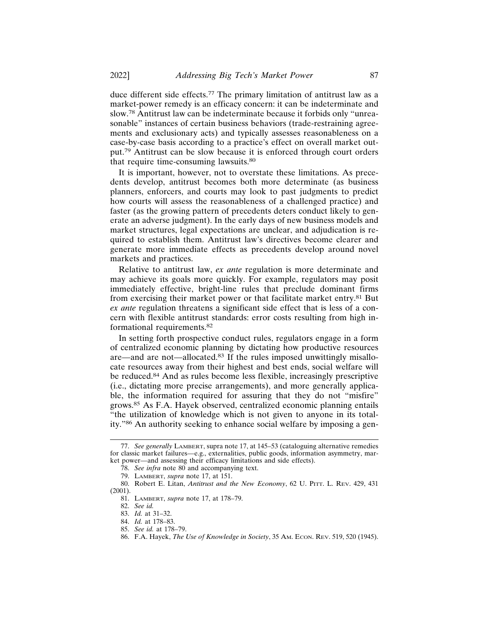duce different side effects.77 The primary limitation of antitrust law as a market-power remedy is an efficacy concern: it can be indeterminate and slow.78 Antitrust law can be indeterminate because it forbids only "unreasonable" instances of certain business behaviors (trade-restraining agreements and exclusionary acts) and typically assesses reasonableness on a case-by-case basis according to a practice's effect on overall market output.79 Antitrust can be slow because it is enforced through court orders that require time-consuming lawsuits.<sup>80</sup>

It is important, however, not to overstate these limitations. As precedents develop, antitrust becomes both more determinate (as business planners, enforcers, and courts may look to past judgments to predict how courts will assess the reasonableness of a challenged practice) and faster (as the growing pattern of precedents deters conduct likely to generate an adverse judgment). In the early days of new business models and market structures, legal expectations are unclear, and adjudication is required to establish them. Antitrust law's directives become clearer and generate more immediate effects as precedents develop around novel markets and practices.

Relative to antitrust law, *ex ante* regulation is more determinate and may achieve its goals more quickly. For example, regulators may posit immediately effective, bright-line rules that preclude dominant firms from exercising their market power or that facilitate market entry.81 But *ex ante* regulation threatens a significant side effect that is less of a concern with flexible antitrust standards: error costs resulting from high informational requirements.<sup>82</sup>

In setting forth prospective conduct rules, regulators engage in a form of centralized economic planning by dictating how productive resources are—and are not—allocated.83 If the rules imposed unwittingly misallocate resources away from their highest and best ends, social welfare will be reduced.84 And as rules become less flexible, increasingly prescriptive (i.e., dictating more precise arrangements), and more generally applicable, the information required for assuring that they do not "misfire" grows.85 As F.A. Hayek observed, centralized economic planning entails "the utilization of knowledge which is not given to anyone in its totality."86 An authority seeking to enhance social welfare by imposing a gen-

<sup>77.</sup> *See generally* LAMBERT, supra note 17, at 145–53 (cataloguing alternative remedies for classic market failures—e.g., externalities, public goods, information asymmetry, market power—and assessing their efficacy limitations and side effects).

<sup>78.</sup> *See infra* note 80 and accompanying text.

<sup>79.</sup> LAMBERT, *supra* note 17, at 151.

<sup>80.</sup> Robert E. Litan, *Antitrust and the New Economy*, 62 U. PITT. L. REV. 429, 431 (2001).

<sup>81.</sup> LAMBERT, *supra* note 17, at 178–79.

<sup>82.</sup> *See id.*

<sup>83.</sup> *Id.* at 31–32.

<sup>84.</sup> *Id.* at 178–83.

<sup>85.</sup> *See id.* at 178–79.

<sup>86.</sup> F.A. Hayek, *The Use of Knowledge in Society*, 35 AM. ECON. REV. 519, 520 (1945).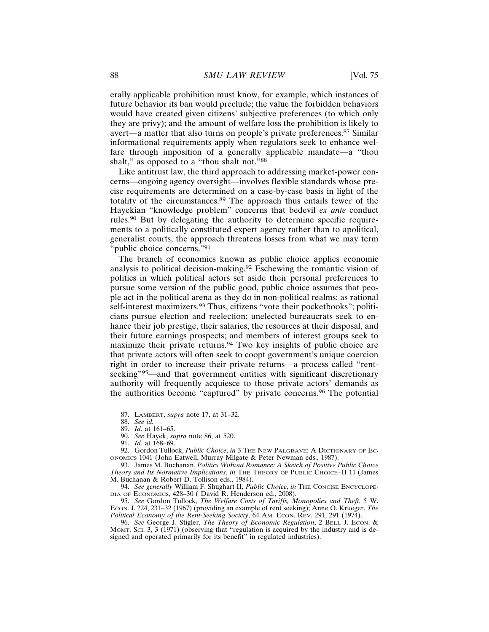erally applicable prohibition must know, for example, which instances of future behavior its ban would preclude; the value the forbidden behaviors would have created given citizens' subjective preferences (to which only they are privy); and the amount of welfare loss the prohibition is likely to avert—a matter that also turns on people's private preferences.87 Similar informational requirements apply when regulators seek to enhance welfare through imposition of a generally applicable mandate—a "thou shalt," as opposed to a "thou shalt not."88

Like antitrust law, the third approach to addressing market-power concerns—ongoing agency oversight—involves flexible standards whose precise requirements are determined on a case-by-case basis in light of the totality of the circumstances.89 The approach thus entails fewer of the Hayekian "knowledge problem" concerns that bedevil *ex ante* conduct rules.90 But by delegating the authority to determine specific requirements to a politically constituted expert agency rather than to apolitical, generalist courts, the approach threatens losses from what we may term "public choice concerns."<sup>91</sup>

The branch of economics known as public choice applies economic analysis to political decision-making.92 Eschewing the romantic vision of politics in which political actors set aside their personal preferences to pursue some version of the public good, public choice assumes that people act in the political arena as they do in non-political realms: as rational self-interest maximizers.<sup>93</sup> Thus, citizens "vote their pocketbooks"; politicians pursue election and reelection; unelected bureaucrats seek to enhance their job prestige, their salaries, the resources at their disposal, and their future earnings prospects; and members of interest groups seek to maximize their private returns.94 Two key insights of public choice are that private actors will often seek to coopt government's unique coercion right in order to increase their private returns—a process called "rentseeking"<sup>95</sup>—and that government entities with significant discretionary authority will frequently acquiesce to those private actors' demands as the authorities become "captured" by private concerns.96 The potential

<sup>87.</sup> LAMBERT, *supra* note 17, at 31–32.

<sup>88.</sup> *See id.*

<sup>89.</sup> *Id.* at 161–65.

<sup>90.</sup> *See* Hayek, *supra* note 86, at 520.

<sup>91.</sup> *Id.* at 168–69.

<sup>92.</sup> Gordon Tullock, *Public Choice*, *in* 3 THE NEW PALGRAVE: A DICTIONARY OF EC-ONOMICS 1041 (John Eatwell, Murray Milgate & Peter Newman eds., 1987).

<sup>93.</sup> James M. Buchanan, *Politics Without Romance: A Sketch of Positive Public Choice Theory and Its Normative Implications*, *in* THE THEORY OF PUBLIC CHOICE–II 11 (James M. Buchanan & Robert D. Tollison eds., 1984).

<sup>94.</sup> *See generally* William F. Shughart II, *Public Choice*, *in* THE CONCISE ENCYCLOPE-DIA OF ECONOMICS, 428–30 ( David R. Henderson ed., 2008).

<sup>95.</sup> *See* Gordon Tullock, *The Welfare Costs of Tariffs, Monopolies and Theft*, 5 W. ECON. J. 224, 231–32 (1967) (providing an example of rent seeking); Anne O. Krueger, *The Political Economy of the Rent-Seeking Society*, 64 AM. ECON. REV. 291, 291 (1974).

<sup>96.</sup> *See* George J. Stigler, *The Theory of Economic Regulation*, 2 BELL J. ECON. & MGMT. SCI. 3, 3 (1971) (observing that "regulation is acquired by the industry and is designed and operated primarily for its benefit" in regulated industries).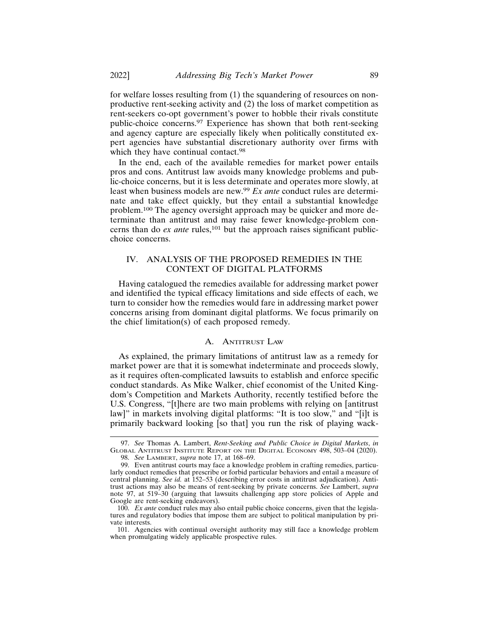for welfare losses resulting from (1) the squandering of resources on nonproductive rent-seeking activity and (2) the loss of market competition as rent-seekers co-opt government's power to hobble their rivals constitute public-choice concerns.97 Experience has shown that both rent-seeking and agency capture are especially likely when politically constituted expert agencies have substantial discretionary authority over firms with which they have continual contact.<sup>98</sup>

In the end, each of the available remedies for market power entails pros and cons. Antitrust law avoids many knowledge problems and public-choice concerns, but it is less determinate and operates more slowly, at least when business models are new.<sup>99</sup> *Ex ante* conduct rules are determinate and take effect quickly, but they entail a substantial knowledge problem.100 The agency oversight approach may be quicker and more determinate than antitrust and may raise fewer knowledge-problem concerns than do *ex ante* rules,<sup>101</sup> but the approach raises significant publicchoice concerns.

## IV. ANALYSIS OF THE PROPOSED REMEDIES IN THE CONTEXT OF DIGITAL PLATFORMS

Having catalogued the remedies available for addressing market power and identified the typical efficacy limitations and side effects of each, we turn to consider how the remedies would fare in addressing market power concerns arising from dominant digital platforms. We focus primarily on the chief limitation(s) of each proposed remedy.

#### A. ANTITRUST LAW

As explained, the primary limitations of antitrust law as a remedy for market power are that it is somewhat indeterminate and proceeds slowly, as it requires often-complicated lawsuits to establish and enforce specific conduct standards. As Mike Walker, chief economist of the United Kingdom's Competition and Markets Authority, recently testified before the U.S. Congress, "[t]here are two main problems with relying on [antitrust law]" in markets involving digital platforms: "It is too slow," and "[i]t is primarily backward looking [so that] you run the risk of playing wack-

<sup>97.</sup> *See* Thomas A. Lambert, *Rent-Seeking and Public Choice in Digital Markets*, *in* GLOBAL ANTITRUST INSTITUTE REPORT ON THE DIGITAL ECONOMY 498, 503–04 (2020). 98. *See* LAMBERT, *supra* note 17, at 168–69.

<sup>99.</sup> Even antitrust courts may face a knowledge problem in crafting remedies, particularly conduct remedies that prescribe or forbid particular behaviors and entail a measure of central planning. *See id.* at 152-53 (describing error costs in antitrust adjudication). Antitrust actions may also be means of rent-seeking by private concerns. *See* Lambert, *supra* note 97, at 519–30 (arguing that lawsuits challenging app store policies of Apple and Google are rent-seeking endeavors).

<sup>100.</sup> *Ex ante* conduct rules may also entail public choice concerns, given that the legislatures and regulatory bodies that impose them are subject to political manipulation by private interests.

<sup>101.</sup> Agencies with continual oversight authority may still face a knowledge problem when promulgating widely applicable prospective rules.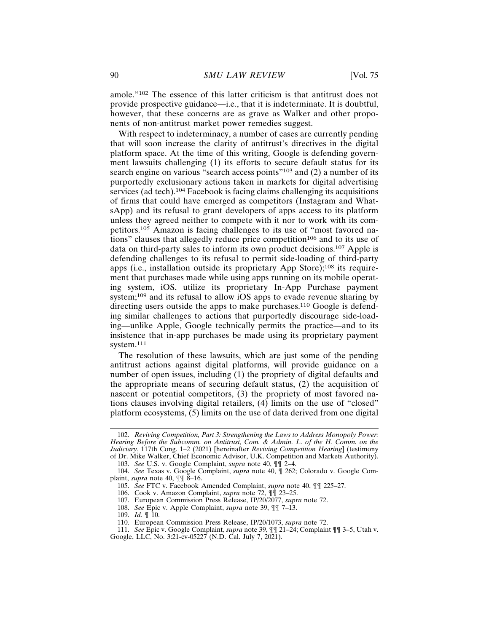amole."102 The essence of this latter criticism is that antitrust does not provide prospective guidance—i.e., that it is indeterminate. It is doubtful, however, that these concerns are as grave as Walker and other proponents of non-antitrust market power remedies suggest.

With respect to indeterminacy, a number of cases are currently pending that will soon increase the clarity of antitrust's directives in the digital platform space. At the time of this writing, Google is defending government lawsuits challenging (1) its efforts to secure default status for its search engine on various "search access points"<sup>103</sup> and (2) a number of its purportedly exclusionary actions taken in markets for digital advertising services (ad tech).<sup>104</sup> Facebook is facing claims challenging its acquisitions of firms that could have emerged as competitors (Instagram and WhatsApp) and its refusal to grant developers of apps access to its platform unless they agreed neither to compete with it nor to work with its competitors.105 Amazon is facing challenges to its use of "most favored nations" clauses that allegedly reduce price competition<sup>106</sup> and to its use of data on third-party sales to inform its own product decisions.107 Apple is defending challenges to its refusal to permit side-loading of third-party apps (i.e., installation outside its proprietary App Store);108 its requirement that purchases made while using apps running on its mobile operating system, iOS, utilize its proprietary In-App Purchase payment system;109 and its refusal to allow iOS apps to evade revenue sharing by directing users outside the apps to make purchases.<sup>110</sup> Google is defending similar challenges to actions that purportedly discourage side-loading—unlike Apple, Google technically permits the practice—and to its insistence that in-app purchases be made using its proprietary payment system.111

The resolution of these lawsuits, which are just some of the pending antitrust actions against digital platforms, will provide guidance on a number of open issues, including (1) the propriety of digital defaults and the appropriate means of securing default status, (2) the acquisition of nascent or potential competitors, (3) the propriety of most favored nations clauses involving digital retailers, (4) limits on the use of "closed" platform ecosystems, (5) limits on the use of data derived from one digital

<sup>102.</sup> *Reviving Competition, Part 3: Strengthening the Laws to Address Monopoly Power: Hearing Before the Subcomm. on Antitrust, Com. & Admin. L. of the H. Comm. on the Judiciary*, 117th Cong. 1–2 (2021) [hereinafter *Reviving Competition Hearing*] (testimony of Dr. Mike Walker, Chief Economic Advisor, U.K. Competition and Markets Authority).

<sup>103.</sup> *See* U.S. v. Google Complaint, *supra* note 40, ¶¶ 2–4.

<sup>104.</sup> *See* Texas v. Google Complaint, *supra* note 40, ¶ 262; Colorado v. Google Complaint, *supra* note 40, ¶¶ 8–16.

<sup>105.</sup> *See* FTC v. Facebook Amended Complaint, *supra* note 40, ¶¶ 225–27.

<sup>106.</sup> Cook v. Amazon Complaint, *supra* note 72, ¶¶ 23–25.

<sup>107.</sup> European Commission Press Release, IP/20/2077, *supra* note 72.

<sup>108.</sup> *See* Epic v. Apple Complaint, *supra* note 39, ¶¶ 7–13.

<sup>109.</sup> *Id.* ¶ 10.

<sup>110.</sup> European Commission Press Release, IP/20/1073, *supra* note 72.

<sup>111.</sup> *See* Epic v. Google Complaint, *supra* note 39, ¶¶ 21–24; Complaint ¶¶ 3–5, Utah v.

Google, LLC, No. 3:21-cv-05227 (N.D. Cal. July 7, 2021).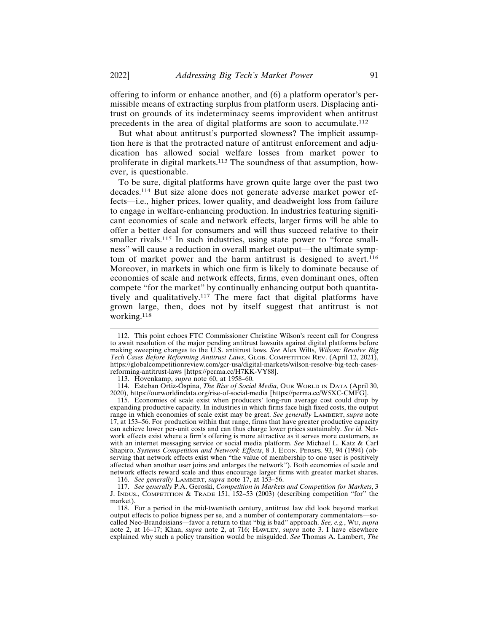offering to inform or enhance another, and (6) a platform operator's permissible means of extracting surplus from platform users. Displacing antitrust on grounds of its indeterminacy seems improvident when antitrust precedents in the area of digital platforms are soon to accumulate.<sup>112</sup>

But what about antitrust's purported slowness? The implicit assumption here is that the protracted nature of antitrust enforcement and adjudication has allowed social welfare losses from market power to proliferate in digital markets.113 The soundness of that assumption, however, is questionable.

To be sure, digital platforms have grown quite large over the past two decades.114 But size alone does not generate adverse market power effects—i.e., higher prices, lower quality, and deadweight loss from failure to engage in welfare-enhancing production. In industries featuring significant economies of scale and network effects, larger firms will be able to offer a better deal for consumers and will thus succeed relative to their smaller rivals.<sup>115</sup> In such industries, using state power to "force smallness" will cause a reduction in overall market output—the ultimate symptom of market power and the harm antitrust is designed to avert.<sup>116</sup> Moreover, in markets in which one firm is likely to dominate because of economies of scale and network effects, firms, even dominant ones, often compete "for the market" by continually enhancing output both quantitatively and qualitatively.117 The mere fact that digital platforms have grown large, then, does not by itself suggest that antitrust is not working.118

<sup>112.</sup> This point echoes FTC Commissioner Christine Wilson's recent call for Congress to await resolution of the major pending antitrust lawsuits against digital platforms before making sweeping changes to the U.S. antitrust laws. *See* Alex Wilts, *Wilson: Resolve Big Tech Cases Before Reforming Antitrust Laws*, GLOB. COMPETITION REV. (April 12, 2021), https://globalcompetitionreview.com/gcr-usa/digital-markets/wilson-resolve-big-tech-casesreforming-antitrust-laws [https://perma.cc/H7KK-VY88].

<sup>113.</sup> Hovenkamp, *supra* note 60, at 1958–60.

<sup>114.</sup> Esteban Ortiz-Ospina, *The Rise of Social Media*, OUR WORLD IN DATA (April 30, 2020), https://ourworldindata.org/rise-of-social-media [https://perma.cc/W5XC-CMFG].

<sup>115.</sup> Economies of scale exist when producers' long-run average cost could drop by expanding productive capacity. In industries in which firms face high fixed costs, the output range in which economies of scale exist may be great. *See generally* LAMBERT, *supra* note 17, at 153–56. For production within that range, firms that have greater productive capacity can achieve lower per-unit costs and can thus charge lower prices sustainably. *See id.* Network effects exist where a firm's offering is more attractive as it serves more customers, as with an internet messaging service or social media platform. *See* Michael L. Katz & Carl Shapiro, *Systems Competition and Network Effects*, 8 J. ECON. PERSPS. 93, 94 (1994) (observing that network effects exist when "the value of membership to one user is positively affected when another user joins and enlarges the network"). Both economies of scale and network effects reward scale and thus encourage larger firms with greater market shares.

<sup>116.</sup> *See generally* LAMBERT, *supra* note 17, at 153–56.

<sup>117.</sup> *See generally* P.A. Geroski, *Competition in Markets and Competition for Markets*, 3 J. INDUS., COMPETITION & TRADE 151, 152–53 (2003) (describing competition "for" the market).

<sup>118.</sup> For a period in the mid-twentieth century, antitrust law did look beyond market output effects to police bigness per se, and a number of contemporary commentators—socalled Neo-Brandeisians—favor a return to that "big is bad" approach. *See, e.g.*, WU, *supra* note 2, at 16–17; Khan, *supra* note 2, at 716; HAWLEY, *supra* note 3. I have elsewhere explained why such a policy transition would be misguided. *See* Thomas A. Lambert, *The*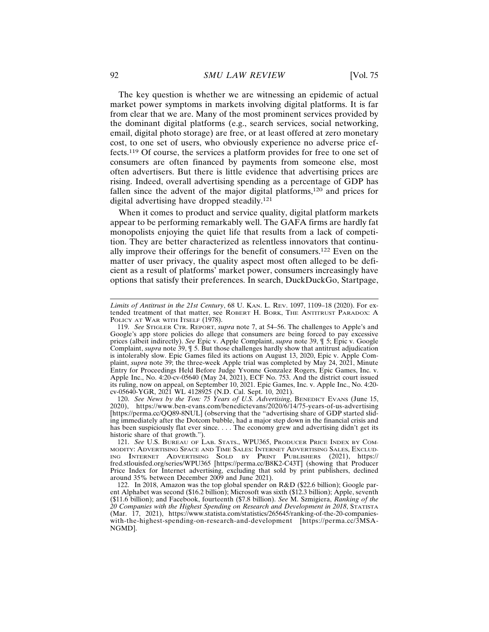The key question is whether we are witnessing an epidemic of actual market power symptoms in markets involving digital platforms. It is far from clear that we are. Many of the most prominent services provided by the dominant digital platforms (e.g., search services, social networking, email, digital photo storage) are free, or at least offered at zero monetary cost, to one set of users, who obviously experience no adverse price effects.119 Of course, the services a platform provides for free to one set of consumers are often financed by payments from someone else, most often advertisers. But there is little evidence that advertising prices are rising. Indeed, overall advertising spending as a percentage of GDP has fallen since the advent of the major digital platforms,120 and prices for digital advertising have dropped steadily.<sup>121</sup>

When it comes to product and service quality, digital platform markets appear to be performing remarkably well. The GAFA firms are hardly fat monopolists enjoying the quiet life that results from a lack of competition. They are better characterized as relentless innovators that continually improve their offerings for the benefit of consumers.122 Even on the matter of user privacy, the quality aspect most often alleged to be deficient as a result of platforms' market power, consumers increasingly have options that satisfy their preferences. In search, DuckDuckGo, Startpage,

120. *See News by the Ton: 75 Years of U.S. Advertising*, BENEDICT EVANS (June 15, 2020), https://www.ben-evans.com/benedictevans/2020/6/14/75-years-of-us-advertising [https://perma.cc/QQ89-8NUL] (observing that the "advertising share of GDP started sliding immediately after the Dotcom bubble, had a major step down in the financial crisis and has been suspiciously flat ever since. . . . The economy grew and advertising didn't get its historic share of that growth.").

121. *See* U.S. BUREAU OF LAB. STATS., WPU365, PRODUCER PRICE INDEX BY COM-MODITY: ADVERTISING SPACE AND TIME SALES: INTERNET ADVERTISING SALES, EXCLUD-ING INTERNET ADVERTISING SOLD BY PRINT PUBLISHERS (2021), https:// fred.stlouisfed.org/series/WPU365 [https://perma.cc/B8K2-C43T] (showing that Producer Price Index for Internet advertising, excluding that sold by print publishers, declined around 35% between December 2009 and June 2021).

122. In 2018, Amazon was the top global spender on R&D (\$22.6 billion); Google parent Alphabet was second (\$16.2 billion); Microsoft was sixth (\$12.3 billion); Apple, seventh (\$11.6 billion); and Facebook, fourteenth (\$7.8 billion). *See* M. Szmigiera, *Ranking of the 20 Companies with the Highest Spending on Research and Development in 2018*, STATISTA (Mar. 17, 2021), https://www.statista.com/statistics/265645/ranking-of-the-20-companieswith-the-highest-spending-on-research-and-development [https://perma.cc/3MSA-NGMD].

*Limits of Antitrust in the 21st Century*, 68 U. KAN. L. REV. 1097, 1109–18 (2020). For extended treatment of that matter, see ROBERT H. BORK, THE ANTITRUST PARADOX: A POLICY AT WAR WITH ITSELF (1978).

<sup>119.</sup> *See* STIGLER CTR. REPORT, *supra* note 7, at 54–56. The challenges to Apple's and Google's app store policies do allege that consumers are being forced to pay excessive prices (albeit indirectly). *See* Epic v. Apple Complaint, *supra* note 39, ¶ 5; Epic v. Google Complaint, *supra* note 39, ¶ 5. But those challenges hardly show that antitrust adjudication is intolerably slow. Epic Games filed its actions on August 13, 2020, Epic v. Apple Complaint, *supra* note 39; the three-week Apple trial was completed by May 24, 2021, Minute Entry for Proceedings Held Before Judge Yvonne Gonzalez Rogers, Epic Games, Inc. v. Apple Inc., No. 4:20-cv-05640 (May 24, 2021), ECF No. 753. And the district court issued its ruling, now on appeal, on September 10, 2021. Epic Games, Inc. v. Apple Inc., No. 4:20 cv-05640-YGR, 2021 WL 4128925 (N.D. Cal. Sept. 10, 2021).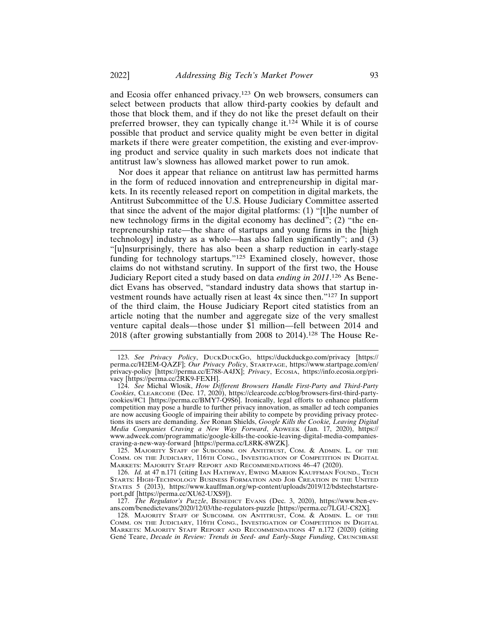and Ecosia offer enhanced privacy.123 On web browsers, consumers can select between products that allow third-party cookies by default and those that block them, and if they do not like the preset default on their preferred browser, they can typically change it.<sup>124</sup> While it is of course possible that product and service quality might be even better in digital markets if there were greater competition, the existing and ever-improving product and service quality in such markets does not indicate that antitrust law's slowness has allowed market power to run amok.

Nor does it appear that reliance on antitrust law has permitted harms in the form of reduced innovation and entrepreneurship in digital markets. In its recently released report on competition in digital markets, the Antitrust Subcommittee of the U.S. House Judiciary Committee asserted that since the advent of the major digital platforms: (1) "[t]he number of new technology firms in the digital economy has declined"; (2) "the entrepreneurship rate—the share of startups and young firms in the [high technology] industry as a whole—has also fallen significantly"; and (3) "[u]nsurprisingly, there has also been a sharp reduction in early-stage funding for technology startups."125 Examined closely, however, those claims do not withstand scrutiny. In support of the first two, the House Judiciary Report cited a study based on data *ending in 2011*. 126 As Benedict Evans has observed, "standard industry data shows that startup investment rounds have actually risen at least 4x since then."127 In support of the third claim, the House Judiciary Report cited statistics from an article noting that the number and aggregate size of the very smallest venture capital deals—those under \$1 million—fell between 2014 and 2018 (after growing substantially from 2008 to 2014).128 The House Re-

<sup>123.</sup> *See Privacy Policy*, DUCKDUCKGO, https://duckduckgo.com/privacy [https:// perma.cc/H2EM-QAZF]; *Our Privacy Policy*, STARTPAGE, https://www.startpage.com/en/ privacy-policy [https://perma.cc/E788-A4JX]; *Privacy*, ECOSIA, https://info.ecosia.org/privacy [https://perma.cc/2RK9-FEXH].

<sup>124.</sup> *See* Michal Wlosik, *How Different Browsers Handle First-Party and Third-Party Cookies*, CLEARCODE (Dec. 17, 2020), https://clearcode.cc/blog/browsers-first-third-partycookies/#C1 [https://perma.cc/BMY7-Q9S6]. Ironically, legal efforts to enhance platform competition may pose a hurdle to further privacy innovation, as smaller ad tech companies are now accusing Google of impairing their ability to compete by providing privacy protections its users are demanding. *See* Ronan Shields, *Google Kills the Cookie, Leaving Digital Media Companies Craving a New Way Forward*, ADWEEK (Jan. 17, 2020), https:// www.adweek.com/programmatic/google-kills-the-cookie-leaving-digital-media-companiescraving-a-new-way-forward [https://perma.cc/L8RK-8WZK].

<sup>125.</sup> MAJORITY STAFF OF SUBCOMM. ON ANTITRUST, COM. & ADMIN. L. OF THE COMM. ON THE JUDICIARY, 116TH CONG., INVESTIGATION OF COMPETITION IN DIGITAL MARKETS: MAJORITY STAFF REPORT AND RECOMMENDATIONS 46–47 (2020).

<sup>126.</sup> *Id.* at 47 n.171 (citing IAN HATHWAY, EWING MARION KAUFFMAN FOUND., TECH STARTS: HIGH-TECHNOLOGY BUSINESS FORMATION AND JOB CREATION IN THE UNITED STATES 5 (2013), https://www.kauffman.org/wp-content/uploads/2019/12/bdstechstartsreport.pdf [https://perma.cc/XU62-UXS9]).

<sup>127.</sup> *The Regulator's Puzzle*, BENEDICT EVANS (Dec. 3, 2020), https://www.ben-evans.com/benedictevans/2020/12/03/the-regulators-puzzle [https://perma.cc/7LGU-C82X].

<sup>128.</sup> MAJORITY STAFF OF SUBCOMM. ON ANTITRUST, COM. & ADMIN. L. OF THE COMM. ON THE JUDICIARY, 116TH CONG., INVESTIGATION OF COMPETITION IN DIGITAL MARKETS: MAJORITY STAFF REPORT AND RECOMMENDATIONS 47 n.172 (2020) (citing Gené Teare, *Decade in Review: Trends in Seed- and Early-Stage Funding*, CRUNCHBASE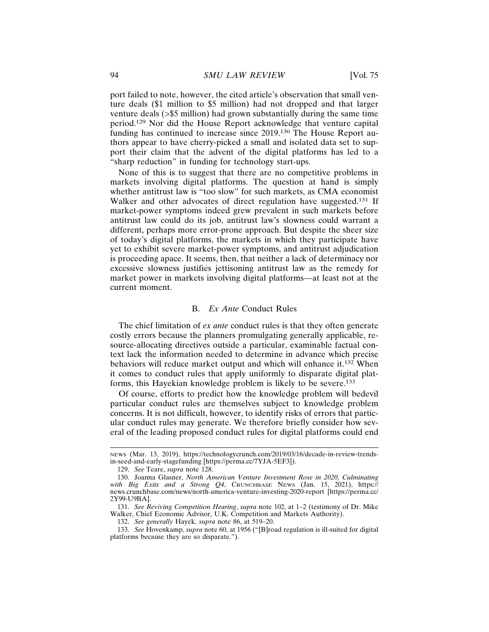port failed to note, however, the cited article's observation that small venture deals (\$1 million to \$5 million) had not dropped and that larger venture deals (>\$5 million) had grown substantially during the same time period.129 Nor did the House Report acknowledge that venture capital funding has continued to increase since 2019.130 The House Report authors appear to have cherry-picked a small and isolated data set to support their claim that the advent of the digital platforms has led to a "sharp reduction" in funding for technology start-ups.

None of this is to suggest that there are no competitive problems in markets involving digital platforms. The question at hand is simply whether antitrust law is "too slow" for such markets, as CMA economist Walker and other advocates of direct regulation have suggested.<sup>131</sup> If market-power symptoms indeed grew prevalent in such markets before antitrust law could do its job, antitrust law's slowness could warrant a different, perhaps more error-prone approach. But despite the sheer size of today's digital platforms, the markets in which they participate have yet to exhibit severe market-power symptoms, and antitrust adjudication is proceeding apace. It seems, then, that neither a lack of determinacy nor excessive slowness justifies jettisoning antitrust law as the remedy for market power in markets involving digital platforms—at least not at the current moment.

#### B. *Ex Ante* Conduct Rules

The chief limitation of *ex ante* conduct rules is that they often generate costly errors because the planners promulgating generally applicable, resource-allocating directives outside a particular, examinable factual context lack the information needed to determine in advance which precise behaviors will reduce market output and which will enhance it.132 When it comes to conduct rules that apply uniformly to disparate digital platforms, this Hayekian knowledge problem is likely to be severe.<sup>133</sup>

Of course, efforts to predict how the knowledge problem will bedevil particular conduct rules are themselves subject to knowledge problem concerns. It is not difficult, however, to identify risks of errors that particular conduct rules may generate. We therefore briefly consider how several of the leading proposed conduct rules for digital platforms could end

NEWS (Mar. 13, 2019), https://technologycrunch.com/2019/03/16/decade-in-review-trendsin-seed-and-early-stagefunding [https://perma.cc/7YJA-5EF3]).

<sup>129.</sup> *See* Teare, *supra* note 128.

<sup>130.</sup> Joanna Glasner, *North American Venture Investment Rose in 2020, Culminating with Big Exits and a Strong Q4*, CRUNCHBASE NEWS (Jan. 15, 2021), https:// news.crunchbase.com/news/north-america-venture-investing-2020-report [https://perma.cc/ 2Y99-U9BA].

<sup>131.</sup> *See Reviving Competition Hearing*, *supra* note 102, at 1–2 (testimony of Dr. Mike Walker, Chief Economic Advisor, U.K. Competition and Markets Authority).

<sup>132.</sup> *See generally* Hayek, *supra* note 86, at 519–20.

<sup>133.</sup> *See* Hovenkamp, *supra* note 60, at 1956 ("[B]road regulation is ill-suited for digital platforms because they are so disparate.").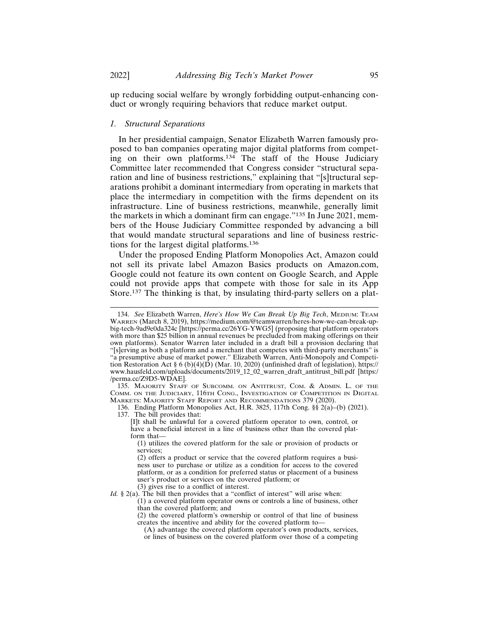up reducing social welfare by wrongly forbidding output-enhancing conduct or wrongly requiring behaviors that reduce market output.

## *1. Structural Separations*

In her presidential campaign, Senator Elizabeth Warren famously proposed to ban companies operating major digital platforms from competing on their own platforms.<sup>134</sup> The staff of the House Judiciary Committee later recommended that Congress consider "structural separation and line of business restrictions," explaining that "[s]tructural separations prohibit a dominant intermediary from operating in markets that place the intermediary in competition with the firms dependent on its infrastructure. Line of business restrictions, meanwhile, generally limit the markets in which a dominant firm can engage."135 In June 2021, members of the House Judiciary Committee responded by advancing a bill that would mandate structural separations and line of business restrictions for the largest digital platforms.<sup>136</sup>

Under the proposed Ending Platform Monopolies Act, Amazon could not sell its private label Amazon Basics products on Amazon.com, Google could not feature its own content on Google Search, and Apple could not provide apps that compete with those for sale in its App Store.<sup>137</sup> The thinking is that, by insulating third-party sellers on a plat-

136. Ending Platform Monopolies Act, H.R. 3825, 117th Cong. §§ 2(a)–(b) (2021). 137. The bill provides that:

(3) gives rise to a conflict of interest.

<sup>134.</sup> *See* Elizabeth Warren, *Here's How We Can Break Up Big Tech*, MEDIUM: TEAM WARREN (March 8, 2019), https://medium.com/@teamwarren/heres-how-we-can-break-upbig-tech-9ad9e0da324c [https://perma.cc/26YG-YWG5] (proposing that platform operators with more than \$25 billion in annual revenues be precluded from making offerings on their own platforms). Senator Warren later included in a draft bill a provision declaring that "[s]erving as both a platform and a merchant that competes with third-party merchants" is "a presumptive abuse of market power." Elizabeth Warren, Anti-Monopoly and Competition Restoration Act § 6 (b)(4)(D) (Mar. 10, 2020) (unfinished draft of legislation), https:// www.hausfeld.com/uploads/documents/2019\_12\_02\_warren\_draft\_antitrust\_bill.pdf [https:/ /perma.cc/Z9D5-WDAE].

<sup>135.</sup> MAJORITY STAFF OF SUBCOMM. ON ANTITRUST, COM. & ADMIN. L. OF THE COMM. ON THE JUDICIARY, 116TH CONG., INVESTIGATION OF COMPETITION IN DIGITAL MARKETS: MAJORITY STAFF REPORT AND RECOMMENDATIONS 379 (2020).

<sup>[</sup>I]t shall be unlawful for a covered platform operator to own, control, or have a beneficial interest in a line of business other than the covered platform that—

<sup>(1)</sup> utilizes the covered platform for the sale or provision of products or services;

<sup>(2)</sup> offers a product or service that the covered platform requires a business user to purchase or utilize as a condition for access to the covered platform, or as a condition for preferred status or placement of a business user's product or services on the covered platform; or

*Id.* § 2(a). The bill then provides that a "conflict of interest" will arise when: (1) a covered platform operator owns or controls a line of business, other

than the covered platform; and

<sup>(2)</sup> the covered platform's ownership or control of that line of business creates the incentive and ability for the covered platform to—

<sup>(</sup>A) advantage the covered platform operator's own products, services, or lines of business on the covered platform over those of a competing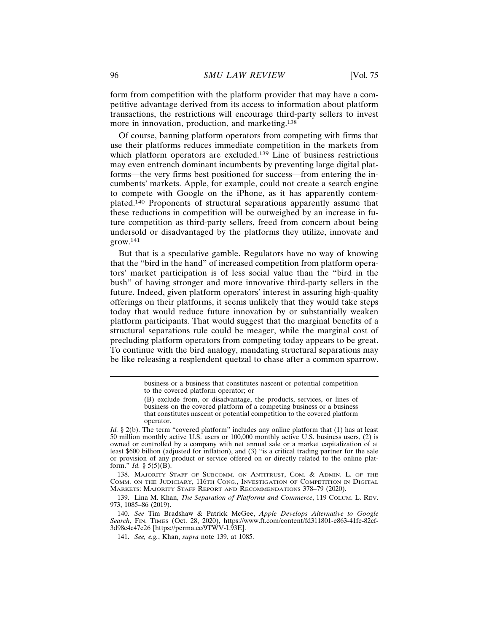form from competition with the platform provider that may have a competitive advantage derived from its access to information about platform transactions, the restrictions will encourage third-party sellers to invest more in innovation, production, and marketing.<sup>138</sup>

Of course, banning platform operators from competing with firms that use their platforms reduces immediate competition in the markets from which platform operators are excluded.<sup>139</sup> Line of business restrictions may even entrench dominant incumbents by preventing large digital platforms—the very firms best positioned for success—from entering the incumbents' markets. Apple, for example, could not create a search engine to compete with Google on the iPhone, as it has apparently contemplated.140 Proponents of structural separations apparently assume that these reductions in competition will be outweighed by an increase in future competition as third-party sellers, freed from concern about being undersold or disadvantaged by the platforms they utilize, innovate and grow.<sup>141</sup>

But that is a speculative gamble. Regulators have no way of knowing that the "bird in the hand" of increased competition from platform operators' market participation is of less social value than the "bird in the bush" of having stronger and more innovative third-party sellers in the future. Indeed, given platform operators' interest in assuring high-quality offerings on their platforms, it seems unlikely that they would take steps today that would reduce future innovation by or substantially weaken platform participants. That would suggest that the marginal benefits of a structural separations rule could be meager, while the marginal cost of precluding platform operators from competing today appears to be great. To continue with the bird analogy, mandating structural separations may be like releasing a resplendent quetzal to chase after a common sparrow.

138. MAJORITY STAFF OF SUBCOMM. ON ANTITRUST, COM. & ADMIN. L. OF THE COMM. ON THE JUDICIARY, 116TH CONG., INVESTIGATION OF COMPETITION IN DIGITAL MARKETS: MAJORITY STAFF REPORT AND RECOMMENDATIONS 378–79 (2020).

139. Lina M. Khan, *The Separation of Platforms and Commerce*, 119 COLUM. L. REV. 973, 1085–86 (2019).

140. *See* Tim Bradshaw & Patrick McGee, *Apple Develops Alternative to Google Search*, FIN. TIMES (Oct. 28, 2020), https://www.ft.com/content/fd311801-e863-41fe-82cf-3d98c4c47e26 [https://perma.cc/9TWV-L93E].

141. *See, e.g.*, Khan, *supra* note 139, at 1085.

business or a business that constitutes nascent or potential competition to the covered platform operator; or

<sup>(</sup>B) exclude from, or disadvantage, the products, services, or lines of business on the covered platform of a competing business or a business that constitutes nascent or potential competition to the covered platform operator.

*Id.* § 2(b). The term "covered platform" includes any online platform that (1) has at least 50 million monthly active U.S. users or 100,000 monthly active U.S. business users, (2) is owned or controlled by a company with net annual sale or a market capitalization of at least \$600 billion (adjusted for inflation), and (3) "is a critical trading partner for the sale or provision of any product or service offered on or directly related to the online platform." *Id.* § 5(5)(B).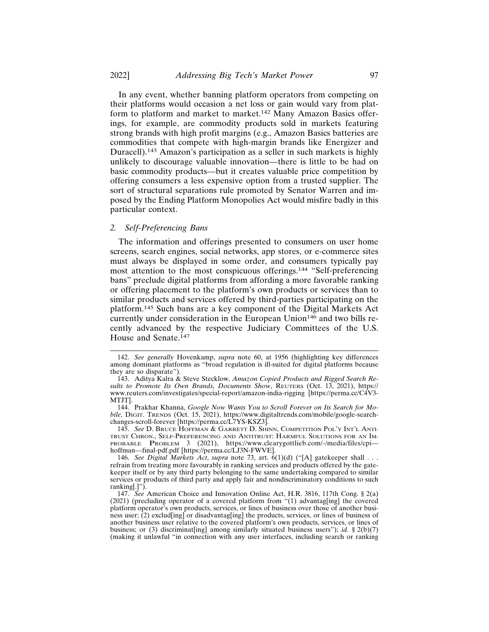In any event, whether banning platform operators from competing on their platforms would occasion a net loss or gain would vary from platform to platform and market to market.142 Many Amazon Basics offerings, for example, are commodity products sold in markets featuring strong brands with high profit margins (e.g., Amazon Basics batteries are commodities that compete with high-margin brands like Energizer and Duracell).143 Amazon's participation as a seller in such markets is highly unlikely to discourage valuable innovation—there is little to be had on basic commodity products—but it creates valuable price competition by offering consumers a less expensive option from a trusted supplier. The sort of structural separations rule promoted by Senator Warren and imposed by the Ending Platform Monopolies Act would misfire badly in this particular context.

#### *2. Self-Preferencing Bans*

The information and offerings presented to consumers on user home screens, search engines, social networks, app stores, or e-commerce sites must always be displayed in some order, and consumers typically pay most attention to the most conspicuous offerings.144 "Self-preferencing bans" preclude digital platforms from affording a more favorable ranking or offering placement to the platform's own products or services than to similar products and services offered by third-parties participating on the platform.145 Such bans are a key component of the Digital Markets Act currently under consideration in the European Union<sup>146</sup> and two bills recently advanced by the respective Judiciary Committees of the U.S. House and Senate.<sup>147</sup>

<sup>142.</sup> *See generally* Hovenkamp, *supra* note 60, at 1956 (highlighting key differences among dominant platforms as "broad regulation is ill-suited for digital platforms because they are so disparate").

<sup>143.</sup> Aditya Kalra & Steve Stecklow, *Amazon Copied Products and Rigged Search Results to Promote Its Own Brands, Documents Show*, REUTERS (Oct. 13, 2021), https:// www.reuters.com/investigates/special-report/amazon-india-rigging [https://perma.cc/C4V3- MTJT].

<sup>144.</sup> Prakhar Khanna, *Google Now Wants You to Scroll Forever on Its Search for Mobile*, DIGIT. TRENDS (Oct. 15, 2021), https://www.digitaltrends.com/mobile/google-searchchanges-scroll-forever [https://perma.cc/L7YS-KSZ3].

<sup>145.</sup> *See* D. BRUCE HOFFMAN & GARRETT D. SHINN, COMPETITION POL'Y INT'L ANTI-TRUST CHRON., SELF-PREFERENCING AND ANTITRUST: HARMFUL SOLUTIONS FOR AN IM-PROBABLE PROBLEM 3 (2021), https://www.clearygottlieb.com/-/media/files/cpihoffman—final-pdf.pdf [https://perma.cc/LJ3N-FWVE].

<sup>146.</sup> *See Digital Markets Act*, *supra* note 73, art. 6(1)(d) ("[A] gatekeeper shall . . . refrain from treating more favourably in ranking services and products offered by the gatekeeper itself or by any third party belonging to the same undertaking compared to similar services or products of third party and apply fair and nondiscriminatory conditions to such ranking[.]").

<sup>147.</sup> *See* American Choice and Innovation Online Act, H.R. 3816, 117th Cong. § 2(a) (2021) (precluding operator of a covered platform from "(1) advantag[ing] the covered platform operator's own products, services, or lines of business over those of another business user; (2) exclud[ing] or disadvantag[ing] the products, services, or lines of business of another business user relative to the covered platform's own products, services, or lines of business; or (3) discriminat[ing] among similarly situated business users"); *id.* § 2(b)(7) (making it unlawful "in connection with any user interfaces, including search or ranking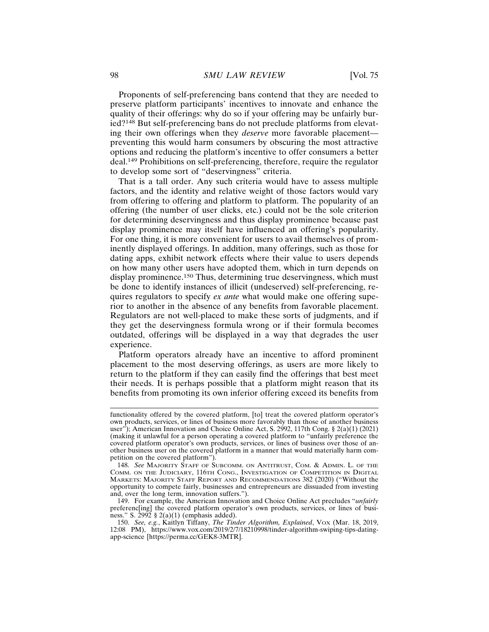Proponents of self-preferencing bans contend that they are needed to preserve platform participants' incentives to innovate and enhance the quality of their offerings: why do so if your offering may be unfairly buried?148 But self-preferencing bans do not preclude platforms from elevating their own offerings when they *deserve* more favorable placement preventing this would harm consumers by obscuring the most attractive options and reducing the platform's incentive to offer consumers a better deal.149 Prohibitions on self-preferencing, therefore, require the regulator to develop some sort of "deservingness" criteria.

That is a tall order. Any such criteria would have to assess multiple factors, and the identity and relative weight of those factors would vary from offering to offering and platform to platform. The popularity of an offering (the number of user clicks, etc.) could not be the sole criterion for determining deservingness and thus display prominence because past display prominence may itself have influenced an offering's popularity. For one thing, it is more convenient for users to avail themselves of prominently displayed offerings. In addition, many offerings, such as those for dating apps, exhibit network effects where their value to users depends on how many other users have adopted them, which in turn depends on display prominence.<sup>150</sup> Thus, determining true deservingness, which must be done to identify instances of illicit (undeserved) self-preferencing, requires regulators to specify *ex ante* what would make one offering superior to another in the absence of any benefits from favorable placement. Regulators are not well-placed to make these sorts of judgments, and if they get the deservingness formula wrong or if their formula becomes outdated, offerings will be displayed in a way that degrades the user experience.

Platform operators already have an incentive to afford prominent placement to the most deserving offerings, as users are more likely to return to the platform if they can easily find the offerings that best meet their needs. It is perhaps possible that a platform might reason that its benefits from promoting its own inferior offering exceed its benefits from

functionality offered by the covered platform, [to] treat the covered platform operator's own products, services, or lines of business more favorably than those of another business user"); American Innovation and Choice Online Act, S. 2992, 117th Cong.  $\S 2(a)(1)$  (2021) (making it unlawful for a person operating a covered platform to "unfairly preference the covered platform operator's own products, services, or lines of business over those of another business user on the covered platform in a manner that would materially harm competition on the covered platform").

<sup>148.</sup> *See* MAJORITY STAFF OF SUBCOMM. ON ANTITRUST, COM. & ADMIN. L. OF THE COMM. ON THE JUDICIARY, 116TH CONG., INVESTIGATION OF COMPETITION IN DIGITAL MARKETS: MAJORITY STAFF REPORT AND RECOMMENDATIONS 382 (2020) ("Without the opportunity to compete fairly, businesses and entrepreneurs are dissuaded from investing and, over the long term, innovation suffers.").

<sup>149.</sup> For example, the American Innovation and Choice Online Act precludes "*unfairly* preferenc[ing] the covered platform operator's own products, services, or lines of business." S. 2992 § 2(a)(1) (emphasis added).

<sup>150.</sup> *See, e.g.*, Kaitlyn Tiffany, *The Tinder Algorithm, Explained*, VOX (Mar. 18, 2019, 12:08 PM), https://www.vox.com/2019/2/7/18210998/tinder-algorithm-swiping-tips-datingapp-science [https://perma.cc/GEK8-3MTR].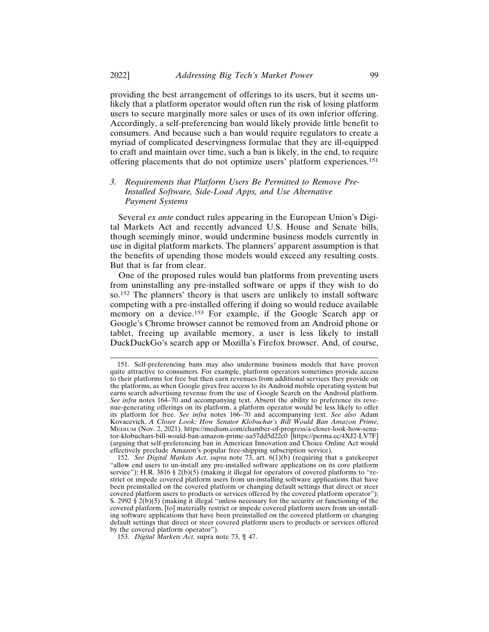providing the best arrangement of offerings to its users, but it seems unlikely that a platform operator would often run the risk of losing platform users to secure marginally more sales or uses of its own inferior offering. Accordingly, a self-preferencing ban would likely provide little benefit to consumers. And because such a ban would require regulators to create a myriad of complicated deservingness formulae that they are ill-equipped to craft and maintain over time, such a ban is likely, in the end, to require offering placements that do not optimize users' platform experiences.<sup>151</sup>

## *3. Requirements that Platform Users Be Permitted to Remove Pre-Installed Software, Side-Load Apps, and Use Alternative Payment Systems*

Several *ex ante* conduct rules appearing in the European Union's Digital Markets Act and recently advanced U.S. House and Senate bills, though seemingly minor, would undermine business models currently in use in digital platform markets. The planners' apparent assumption is that the benefits of upending those models would exceed any resulting costs. But that is far from clear.

One of the proposed rules would ban platforms from preventing users from uninstalling any pre-installed software or apps if they wish to do so.152 The planners' theory is that users are unlikely to install software competing with a pre-installed offering if doing so would reduce available memory on a device.<sup>153</sup> For example, if the Google Search app or Google's Chrome browser cannot be removed from an Android phone or tablet, freeing up available memory, a user is less likely to install DuckDuckGo's search app or Mozilla's Firefox browser. And, of course,

<sup>151.</sup> Self-preferencing bans may also undermine business models that have proven quite attractive to consumers. For example, platform operators sometimes provide access to their platforms for free but then earn revenues from additional services they provide on the platforms, as when Google gives free access to its Android mobile operating system but earns search advertising revenue from the use of Google Search on the Android platform. *See infra* notes 164–70 and accompanying text. Absent the ability to preference its revenue-generating offerings on its platform, a platform operator would be less likely to offer its platform for free. *See infra* notes 166–70 and accompanying text. *See also* Adam Kovacevich, *A Closer Look: How Senator Klobuchar's Bill Would Ban Amazon Prime*, MEDIUM (Nov. 2, 2021), https://medium.com/chamber-of-progress/a-closer-look-how-senator-klobuchars-bill-would-ban-amazon-prime-aa57dd5d22c0 [https://perma.cc/4XJ2-LV7F] (arguing that self-preferencing ban in American Innovation and Choice Online Act would effectively preclude Amazon's popular free-shipping subscription service).

<sup>152.</sup> *See Digital Markets Act*, *supra* note 73, art. 6(1)(b) (requiring that a gatekeeper "allow end users to un-install any pre-installed software applications on its core platform service"); H.R. 3816 § 2(b)(5) (making it illegal for operators of covered platforms to "restrict or impede covered platform users from un-installing software applications that have been preinstalled on the covered platform or changing default settings that direct or steer covered platform users to products or services offered by the covered platform operator"); S. 2992  $\S$  2(b)(5) (making it illegal "unless necessary for the security or functioning of the covered platform, [to] materially restrict or impede covered platform users from un-installing software applications that have been preinstalled on the covered platform or changing default settings that direct or steer covered platform users to products or services offered by the covered platform operator").

<sup>153.</sup> *Digital Markets Act*, supra note 73, ¶ 47.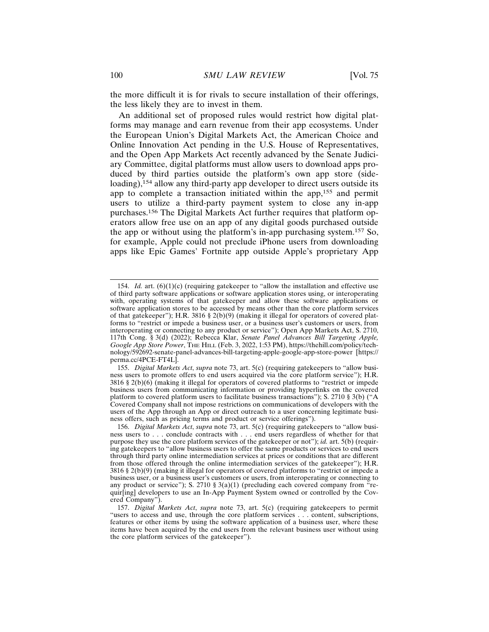the more difficult it is for rivals to secure installation of their offerings, the less likely they are to invest in them.

An additional set of proposed rules would restrict how digital platforms may manage and earn revenue from their app ecosystems. Under the European Union's Digital Markets Act, the American Choice and Online Innovation Act pending in the U.S. House of Representatives, and the Open App Markets Act recently advanced by the Senate Judiciary Committee, digital platforms must allow users to download apps produced by third parties outside the platform's own app store (sideloading),<sup>154</sup> allow any third-party app developer to direct users outside its app to complete a transaction initiated within the app,155 and permit users to utilize a third-party payment system to close any in-app purchases.156 The Digital Markets Act further requires that platform operators allow free use on an app of any digital goods purchased outside the app or without using the platform's in-app purchasing system.157 So, for example, Apple could not preclude iPhone users from downloading apps like Epic Games' Fortnite app outside Apple's proprietary App

<sup>154.</sup> *Id.* art. (6)(1)(c) (requiring gatekeeper to "allow the installation and effective use of third party software applications or software application stores using, or interoperating with, operating systems of that gatekeeper and allow these software applications or software application stores to be accessed by means other than the core platform services of that gatekeeper"); H.R. 3816 § 2(b)(9) (making it illegal for operators of covered platforms to "restrict or impede a business user, or a business user's customers or users, from interoperating or connecting to any product or service"); Open App Markets Act, S. 2710, 117th Cong. § 3(d) (2022); Rebecca Klar, *Senate Panel Advances Bill Targeting Apple, Google App Store Power*, THE HILL (Feb. 3, 2022, 1:53 PM), https://thehill.com/policy/technology/592692-senate-panel-advances-bill-targeting-apple-google-app-store-power [https:// perma.cc/4PCE-FT4L].

<sup>155.</sup> *Digital Markets Act*, *supra* note 73, art. 5(c) (requiring gatekeepers to "allow business users to promote offers to end users acquired via the core platform service"); H.R. 3816 § 2(b)(6) (making it illegal for operators of covered platforms to "restrict or impede business users from communicating information or providing hyperlinks on the covered platform to covered platform users to facilitate business transactions"); S. 2710 § 3(b) ("A Covered Company shall not impose restrictions on communications of developers with the users of the App through an App or direct outreach to a user concerning legitimate business offers, such as pricing terms and product or service offerings").

<sup>156.</sup> *Digital Markets Act*, *supra* note 73, art. 5(c) (requiring gatekeepers to "allow business users to . . . conclude contracts with . . . end users regardless of whether for that purpose they use the core platform services of the gatekeeper or not"); *id.* art. 5(b) (requiring gatekeepers to "allow business users to offer the same products or services to end users through third party online intermediation services at prices or conditions that are different from those offered through the online intermediation services of the gatekeeper"); H.R. 3816 § 2(b)(9) (making it illegal for operators of covered platforms to "restrict or impede a business user, or a business user's customers or users, from interoperating or connecting to any product or service"); S. 2710 § 3(a)(1) (precluding each covered company from "requir[ing] developers to use an In-App Payment System owned or controlled by the Covered Company").

<sup>157.</sup> *Digital Markets Act*, *supra* note 73, art. 5(c) (requiring gatekeepers to permit "users to access and use, through the core platform services . . . content, subscriptions, features or other items by using the software application of a business user, where these items have been acquired by the end users from the relevant business user without using the core platform services of the gatekeeper").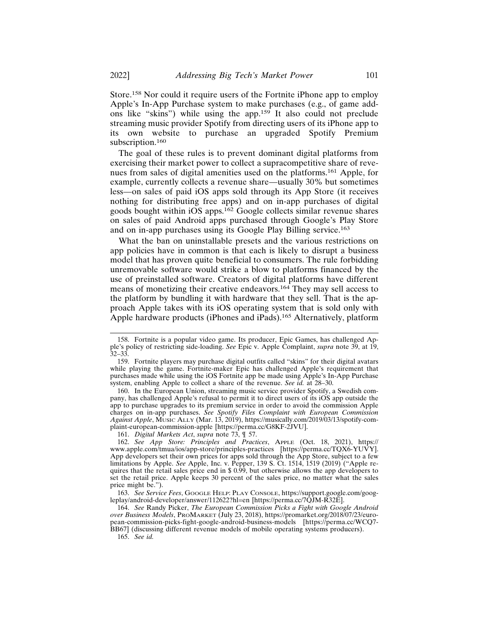Store.158 Nor could it require users of the Fortnite iPhone app to employ Apple's In-App Purchase system to make purchases (e.g., of game addons like "skins") while using the app.159 It also could not preclude streaming music provider Spotify from directing users of its iPhone app to its own website to purchase an upgraded Spotify Premium subscription.<sup>160</sup>

The goal of these rules is to prevent dominant digital platforms from exercising their market power to collect a supracompetitive share of revenues from sales of digital amenities used on the platforms.161 Apple, for example, currently collects a revenue share—usually 30% but sometimes less—on sales of paid iOS apps sold through its App Store (it receives nothing for distributing free apps) and on in-app purchases of digital goods bought within iOS apps.162 Google collects similar revenue shares on sales of paid Android apps purchased through Google's Play Store and on in-app purchases using its Google Play Billing service.<sup>163</sup>

What the ban on uninstallable presets and the various restrictions on app policies have in common is that each is likely to disrupt a business model that has proven quite beneficial to consumers. The rule forbidding unremovable software would strike a blow to platforms financed by the use of preinstalled software. Creators of digital platforms have different means of monetizing their creative endeavors.164 They may sell access to the platform by bundling it with hardware that they sell. That is the approach Apple takes with its iOS operating system that is sold only with Apple hardware products (iPhones and iPads).165 Alternatively, platform

161. *Digital Markets Act*, *supra* note 73, ¶ 57.

165. *See id.*

<sup>158.</sup> Fortnite is a popular video game. Its producer, Epic Games, has challenged Apple's policy of restricting side-loading. *See* Epic v. Apple Complaint, *supra* note 39, at 19, 32–33.

<sup>159.</sup> Fortnite players may purchase digital outfits called "skins" for their digital avatars while playing the game. Fortnite-maker Epic has challenged Apple's requirement that purchases made while using the iOS Fortnite app be made using Apple's In-App Purchase system, enabling Apple to collect a share of the revenue. *See id.* at 28–30.

<sup>160.</sup> In the European Union, streaming music service provider Spotify, a Swedish company, has challenged Apple's refusal to permit it to direct users of its iOS app outside the app to purchase upgrades to its premium service in order to avoid the commission Apple charges on in-app purchases. *See Spotify Files Complaint with European Commission Against Apple*, MUSIC ALLY (Mar. 13, 2019), https://musically.com/2019/03/13/spotify-complaint-european-commission-apple [https://perma.cc/G8KF-2JVU].

<sup>162.</sup> *See App Store: Principles and Practices*, APPLE (Oct. 18, 2021), https:// www.apple.com/tmua/ios/app-store/principles-practices [https://perma.cc/TQX6-YUVY]. App developers set their own prices for apps sold through the App Store, subject to a few limitations by Apple. *See* Apple, Inc. v. Pepper, 139 S. Ct. 1514, 1519 (2019) ("Apple requires that the retail sales price end in \$ 0.99, but otherwise allows the app developers to set the retail price. Apple keeps 30 percent of the sales price, no matter what the sales price might be.").

<sup>163.</sup> *See Service Fees*, GOOGLE HELP: PLAY CONSOLE, https://support.google.com/googleplay/android-developer/answer/112622?hl=en [https://perma.cc/7QJM-R32E].

<sup>164.</sup> *See* Randy Picker, *The European Commission Picks a Fight with Google Android over Business Models*, PROMARKET (July 23, 2018), https://promarket.org/2018/07/23/european-commission-picks-fight-google-android-business-models [https://perma.cc/WCQ7- BB67] (discussing different revenue models of mobile operating systems producers).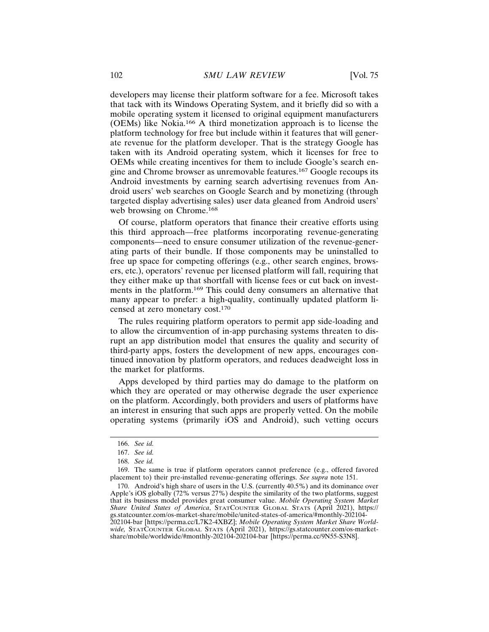developers may license their platform software for a fee. Microsoft takes that tack with its Windows Operating System, and it briefly did so with a mobile operating system it licensed to original equipment manufacturers (OEMs) like Nokia.166 A third monetization approach is to license the platform technology for free but include within it features that will generate revenue for the platform developer. That is the strategy Google has taken with its Android operating system, which it licenses for free to OEMs while creating incentives for them to include Google's search engine and Chrome browser as unremovable features.167 Google recoups its Android investments by earning search advertising revenues from Android users' web searches on Google Search and by monetizing (through targeted display advertising sales) user data gleaned from Android users' web browsing on Chrome.<sup>168</sup>

Of course, platform operators that finance their creative efforts using this third approach—free platforms incorporating revenue-generating components—need to ensure consumer utilization of the revenue-generating parts of their bundle. If those components may be uninstalled to free up space for competing offerings (e.g., other search engines, browsers, etc.), operators' revenue per licensed platform will fall, requiring that they either make up that shortfall with license fees or cut back on investments in the platform.169 This could deny consumers an alternative that many appear to prefer: a high-quality, continually updated platform licensed at zero monetary cost.<sup>170</sup>

The rules requiring platform operators to permit app side-loading and to allow the circumvention of in-app purchasing systems threaten to disrupt an app distribution model that ensures the quality and security of third-party apps, fosters the development of new apps, encourages continued innovation by platform operators, and reduces deadweight loss in the market for platforms.

Apps developed by third parties may do damage to the platform on which they are operated or may otherwise degrade the user experience on the platform. Accordingly, both providers and users of platforms have an interest in ensuring that such apps are properly vetted. On the mobile operating systems (primarily iOS and Android), such vetting occurs

<sup>166.</sup> *See id.*

<sup>167.</sup> *See id.*

<sup>168.</sup> *See id.*

<sup>169.</sup> The same is true if platform operators cannot preference (e.g., offered favored placement to) their pre-installed revenue-generating offerings. *See supra* note 151.

<sup>170.</sup> Android's high share of users in the U.S. (currently 40.5%) and its dominance over Apple's iOS globally (72% versus 27%) despite the similarity of the two platforms, suggest that its business model provides great consumer value. *Mobile Operating System Market Share United States of America*, STATCOUNTER GLOBAL STATS (April 2021), https:// gs.statcounter.com/os-market-share/mobile/united-states-of-america/#monthly-202104- 202104-bar [https://perma.cc/L7K2-4XBZ]; *Mobile Operating System Market Share Worldwide,* STATCOUNTER GLOBAL STATS (April 2021), https://gs.statcounter.com/os-marketshare/mobile/worldwide/#monthly-202104-202104-bar [https://perma.cc/9N55-S3N8].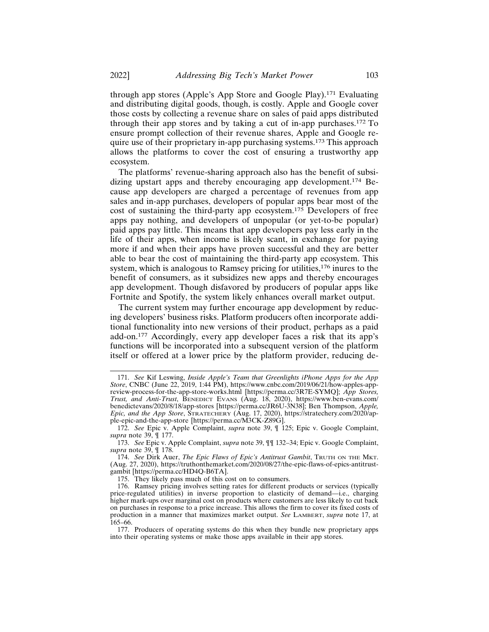through app stores (Apple's App Store and Google Play).171 Evaluating and distributing digital goods, though, is costly. Apple and Google cover those costs by collecting a revenue share on sales of paid apps distributed through their app stores and by taking a cut of in-app purchases.172 To ensure prompt collection of their revenue shares, Apple and Google require use of their proprietary in-app purchasing systems.173 This approach allows the platforms to cover the cost of ensuring a trustworthy app ecosystem.

The platforms' revenue-sharing approach also has the benefit of subsidizing upstart apps and thereby encouraging app development.174 Because app developers are charged a percentage of revenues from app sales and in-app purchases, developers of popular apps bear most of the cost of sustaining the third-party app ecosystem.175 Developers of free apps pay nothing, and developers of unpopular (or yet-to-be popular) paid apps pay little. This means that app developers pay less early in the life of their apps, when income is likely scant, in exchange for paying more if and when their apps have proven successful and they are better able to bear the cost of maintaining the third-party app ecosystem. This system, which is analogous to Ramsey pricing for utilities,<sup>176</sup> inures to the benefit of consumers, as it subsidizes new apps and thereby encourages app development. Though disfavored by producers of popular apps like Fortnite and Spotify, the system likely enhances overall market output.

The current system may further encourage app development by reducing developers' business risks. Platform producers often incorporate additional functionality into new versions of their product, perhaps as a paid add-on.177 Accordingly, every app developer faces a risk that its app's functions will be incorporated into a subsequent version of the platform itself or offered at a lower price by the platform provider, reducing de-

<sup>171.</sup> *See* Kif Leswing, *Inside Apple's Team that Greenlights iPhone Apps for the App Store*, CNBC (June 22, 2019, 1:44 PM), https://www.cnbc.com/2019/06/21/how-apples-appreview-process-for-the-app-store-works.html [https://perma.cc/3R7E-SYMQ]; *App Stores, Trust, and Anti-Trust*, BENEDICT EVANS (Aug. 18, 2020), https://www.ben-evans.com/ benedictevans/2020/8/18/app-stores [https://perma.cc/JR6U-3N38]; Ben Thompson, *Apple, Epic, and the App Store*, STRATECHERY (Aug. 17, 2020), https://stratechery.com/2020/apple-epic-and-the-app-store [https://perma.cc/M3CK-Z89G].

<sup>172.</sup> *See* Epic v. Apple Complaint, *supra* note 39, ¶ 125; Epic v. Google Complaint, *supra* note 39, ¶ 177.

<sup>173.</sup> *See* Epic v. Apple Complaint, *supra* note 39, ¶¶ 132–34; Epic v. Google Complaint, *supra* note 39, ¶ 178.

<sup>174.</sup> *See* Dirk Auer, *The Epic Flaws of Epic's Antitrust Gambit*, TRUTH ON THE MKT. (Aug. 27, 2020), https://truthonthemarket.com/2020/08/27/the-epic-flaws-of-epics-antitrustgambit [https://perma.cc/HD4Q-B6TA].

<sup>175.</sup> They likely pass much of this cost on to consumers.

<sup>176.</sup> Ramsey pricing involves setting rates for different products or services (typically price-regulated utilities) in inverse proportion to elasticity of demand—i.e., charging higher mark-ups over marginal cost on products where customers are less likely to cut back on purchases in response to a price increase. This allows the firm to cover its fixed costs of production in a manner that maximizes market output. *See* LAMBERT, *supra* note 17, at 165–66.

<sup>177.</sup> Producers of operating systems do this when they bundle new proprietary apps into their operating systems or make those apps available in their app stores.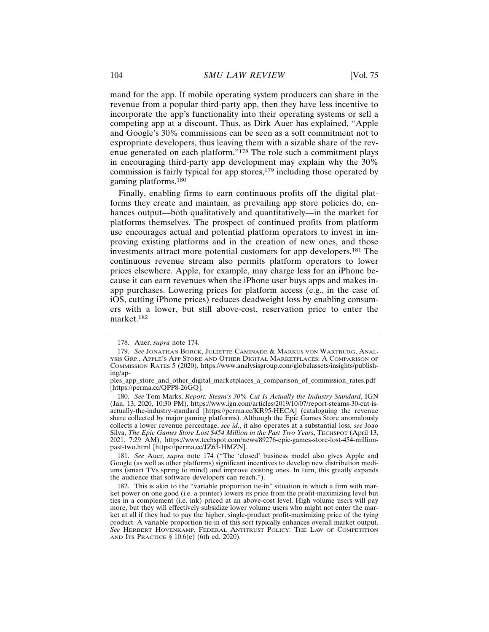mand for the app. If mobile operating system producers can share in the revenue from a popular third-party app, then they have less incentive to incorporate the app's functionality into their operating systems or sell a competing app at a discount. Thus, as Dirk Auer has explained, "Apple and Google's 30% commissions can be seen as a soft commitment not to expropriate developers, thus leaving them with a sizable share of the revenue generated on each platform."178 The role such a commitment plays in encouraging third-party app development may explain why the 30% commission is fairly typical for app stores, $179$  including those operated by gaming platforms.<sup>180</sup>

Finally, enabling firms to earn continuous profits off the digital platforms they create and maintain, as prevailing app store policies do, enhances output—both qualitatively and quantitatively—in the market for platforms themselves. The prospect of continued profits from platform use encourages actual and potential platform operators to invest in improving existing platforms and in the creation of new ones, and those investments attract more potential customers for app developers.181 The continuous revenue stream also permits platform operators to lower prices elsewhere. Apple, for example, may charge less for an iPhone because it can earn revenues when the iPhone user buys apps and makes inapp purchases. Lowering prices for platform access (e.g., in the case of iOS, cutting iPhone prices) reduces deadweight loss by enabling consumers with a lower, but still above-cost, reservation price to enter the market.182

181. *See* Auer, *supra* note 174 ("The 'closed' business model also gives Apple and Google (as well as other platforms) significant incentives to develop new distribution mediums (smart TVs spring to mind) and improve existing ones. In turn, this greatly expands the audience that software developers can reach.").

<sup>178.</sup> Auer, *supra* note 174.

<sup>179.</sup> *See* JONATHAN BORCK, JULIETTE CAMINADE & MARKUS VON WARTBURG, ANAL-YSIS GRP., APPLE'S APP STORE AND OTHER DIGITAL MARKETPLACES: A COMPARISON OF COMMISSION RATES 5 (2020), https://www.analysisgroup.com/globalassets/insights/publishing/ap-

ples\_app\_store\_and\_other\_digital\_marketplaces\_a\_comparison\_of\_commission\_rates.pdf [https://perma.cc/QPP8-26GQ].

<sup>180.</sup> *See* Tom Marks, *Report: Steam's 30% Cut Is Actually the Industry Standard*, IGN (Jan. 13, 2020, 10:30 PM), https://www.ign.com/articles/2019/10/07/report-steams-30-cut-isactually-the-industry-standard [https://perma.cc/KR95-HECA] (cataloguing the revenue share collected by major gaming platforms). Although the Epic Games Store anomalously collects a lower revenue percentage, *see id*., it also operates at a substantial loss, *see* Joao Silva, *The Epic Games Store Lost \$454 Million in the Past Two Years*, TECHSPOT (April 13, 2021, 7:29 AM), https://www.techspot.com/news/89276-epic-games-store-lost-454-millionpast-two.html [https://perma.cc/JZ63-HMZN].

<sup>182.</sup> This is akin to the "variable proportion tie-in" situation in which a firm with market power on one good (i.e. a printer) lowers its price from the profit-maximizing level but ties in a complement (i.e. ink) priced at an above-cost level. High volume users will pay more, but they will effectively subsidize lower volume users who might not enter the market at all if they had to pay the higher, single-product profit-maximizing price of the tying product. A variable proportion tie-in of this sort typically enhances overall market output. *See* HERBERT HOVENKAMP, FEDERAL ANTITRUST POLICY: THE LAW OF COMPETITION AND ITS PRACTICE § 10.6(e) (6th ed. 2020).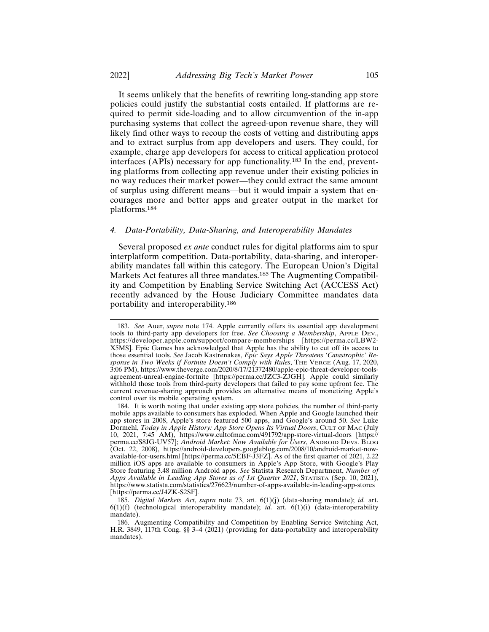It seems unlikely that the benefits of rewriting long-standing app store policies could justify the substantial costs entailed. If platforms are required to permit side-loading and to allow circumvention of the in-app purchasing systems that collect the agreed-upon revenue share, they will likely find other ways to recoup the costs of vetting and distributing apps and to extract surplus from app developers and users. They could, for example, charge app developers for access to critical application protocol interfaces (APIs) necessary for app functionality.183 In the end, preventing platforms from collecting app revenue under their existing policies in no way reduces their market power—they could extract the same amount of surplus using different means—but it would impair a system that encourages more and better apps and greater output in the market for platforms.<sup>184</sup>

#### *4. Data-Portability, Data-Sharing, and Interoperability Mandates*

Several proposed *ex ante* conduct rules for digital platforms aim to spur interplatform competition. Data-portability, data-sharing, and interoperability mandates fall within this category. The European Union's Digital Markets Act features all three mandates.<sup>185</sup> The Augmenting Compatibility and Competition by Enabling Service Switching Act (ACCESS Act) recently advanced by the House Judiciary Committee mandates data portability and interoperability.<sup>186</sup>

<sup>183.</sup> *See* Auer, *supra* note 174. Apple currently offers its essential app development tools to third-party app developers for free. *See Choosing a Membership*, APPLE DEV., https://developer.apple.com/support/compare-memberships [https://perma.cc/LBW2- X5MS]. Epic Games has acknowledged that Apple has the ability to cut off its access to those essential tools. *See* Jacob Kastrenakes, *Epic Says Apple Threatens 'Catastrophic' Response in Two Weeks if Fortnite Doesn't Comply with Rules*, THE VERGE (Aug. 17, 2020, 3:06 PM), https://www.theverge.com/2020/8/17/21372480/apple-epic-threat-developer-toolsagreement-unreal-engine-fortnite [https://perma.cc/JZC3-ZJGH]. Apple could similarly withhold those tools from third-party developers that failed to pay some upfront fee. The current revenue-sharing approach provides an alternative means of monetizing Apple's control over its mobile operating system.

<sup>184.</sup> It is worth noting that under existing app store policies, the number of third-party mobile apps available to consumers has exploded. When Apple and Google launched their app stores in 2008, Apple's store featured 500 apps, and Google's around 50. *See* Luke Dormehl, *Today in Apple History: App Store Opens Its Virtual Doors*, CULT OF MAC (July 10, 2021, 7:45 AM), https://www.cultofmac.com/491792/app-store-virtual-doors [https:// perma.cc/S8JG-UV57]; *Android Market: Now Available for Users*, ANDROID DEVS. BLOG (Oct. 22, 2008), https://android-developers.googleblog.com/2008/10/android-market-nowavailable-for-users.html [https://perma.cc/5EBF-J3FZ]. As of the first quarter of 2021, 2.22 million iOS apps are available to consumers in Apple's App Store, with Google's Play Store featuring 3.48 million Android apps. *See* Statista Research Department, *Number of Apps Available in Leading App Stores as of 1st Quarter 2021*, STATISTA (Sep. 10, 2021), https://www.statista.com/statistics/276623/number-of-apps-available-in-leading-app-stores [https://perma.cc/J4ZK-S2SF].

<sup>185.</sup> *Digital Markets Act*, *supra* note 73, art. 6(1)(j) (data-sharing mandate); *id.* art. 6(1)(f) (technological interoperability mandate); *id.* art. 6(1)(i) (data-interoperability mandate).

<sup>186.</sup> Augmenting Compatibility and Competition by Enabling Service Switching Act, H.R. 3849, 117th Cong. §§ 3–4 (2021) (providing for data-portability and interoperability mandates).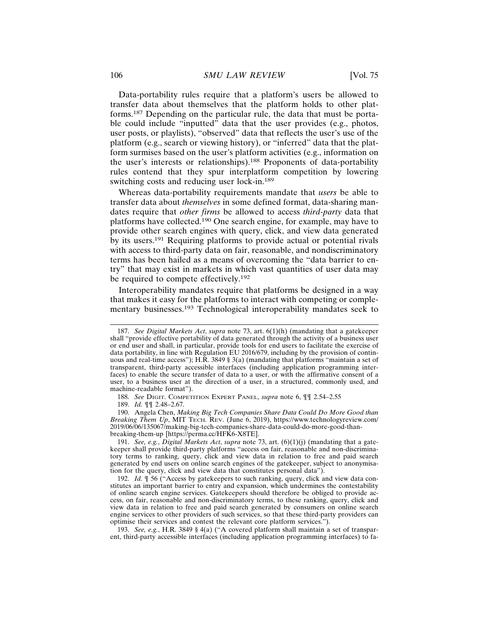Data-portability rules require that a platform's users be allowed to transfer data about themselves that the platform holds to other platforms.187 Depending on the particular rule, the data that must be portable could include "inputted" data that the user provides (e.g., photos, user posts, or playlists), "observed" data that reflects the user's use of the platform (e.g., search or viewing history), or "inferred" data that the platform surmises based on the user's platform activities (e.g., information on the user's interests or relationships).188 Proponents of data-portability rules contend that they spur interplatform competition by lowering switching costs and reducing user lock-in.<sup>189</sup>

Whereas data-portability requirements mandate that *users* be able to transfer data about *themselves* in some defined format, data-sharing mandates require that *other firms* be allowed to access *third-party* data that platforms have collected.190 One search engine, for example, may have to provide other search engines with query, click, and view data generated by its users.191 Requiring platforms to provide actual or potential rivals with access to third-party data on fair, reasonable, and nondiscriminatory terms has been hailed as a means of overcoming the "data barrier to entry" that may exist in markets in which vast quantities of user data may be required to compete effectively.<sup>192</sup>

Interoperability mandates require that platforms be designed in a way that makes it easy for the platforms to interact with competing or complementary businesses.193 Technological interoperability mandates seek to

190. Angela Chen, *Making Big Tech Companies Share Data Could Do More Good than Breaking Them Up*, MIT TECH. REV. (June 6, 2019), https://www.technologyreview.com/ 2019/06/06/135067/making-big-tech-companies-share-data-could-do-more-good-thanbreaking-them-up [https://perma.cc/HFK6-X8TE].

191. *See, e.g.*, *Digital Markets Act*, *supra* note 73, art. (6)(1)(j) (mandating that a gatekeeper shall provide third-party platforms "access on fair, reasonable and non-discriminatory terms to ranking, query, click and view data in relation to free and paid search generated by end users on online search engines of the gatekeeper, subject to anonymisation for the query, click and view data that constitutes personal data").

192. *Id.* ¶ 56 ("Access by gatekeepers to such ranking, query, click and view data constitutes an important barrier to entry and expansion, which undermines the contestability of online search engine services. Gatekeepers should therefore be obliged to provide access, on fair, reasonable and non-discriminatory terms, to these ranking, query, click and view data in relation to free and paid search generated by consumers on online search engine services to other providers of such services, so that these third-party providers can optimise their services and contest the relevant core platform services.").

193. *See, e.g.*, H.R. 3849 § 4(a) ("A covered platform shall maintain a set of transparent, third-party accessible interfaces (including application programming interfaces) to fa-

<sup>187.</sup> *See Digital Markets Act*, *supra* note 73, art. 6(1)(h) (mandating that a gatekeeper shall "provide effective portability of data generated through the activity of a business user or end user and shall, in particular, provide tools for end users to facilitate the exercise of data portability, in line with Regulation EU 2016/679, including by the provision of continuous and real-time access"); H.R. 3849 § 3(a) (mandating that platforms "maintain a set of transparent, third-party accessible interfaces (including application programming interfaces) to enable the secure transfer of data to a user, or with the affirmative consent of a user, to a business user at the direction of a user, in a structured, commonly used, and machine-readable format").

<sup>188.</sup> *See* DIGIT. COMPETITION EXPERT PANEL, *supra* note 6, ¶¶ 2.54–2.55

<sup>189.</sup> *Id.* ¶¶ 2.48–2.67.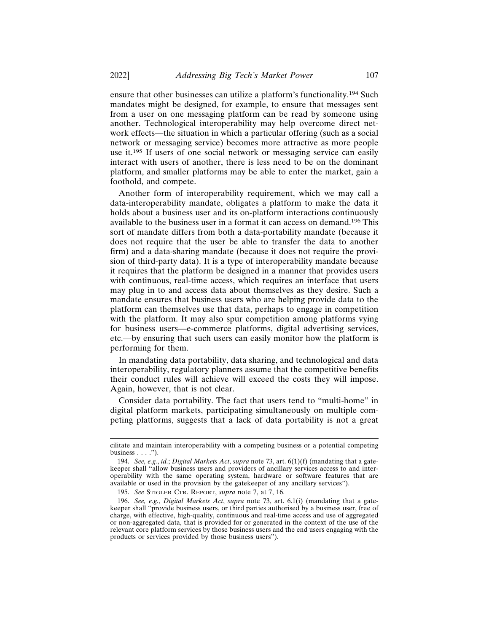ensure that other businesses can utilize a platform's functionality.194 Such mandates might be designed, for example, to ensure that messages sent from a user on one messaging platform can be read by someone using another. Technological interoperability may help overcome direct network effects—the situation in which a particular offering (such as a social network or messaging service) becomes more attractive as more people use it.195 If users of one social network or messaging service can easily interact with users of another, there is less need to be on the dominant platform, and smaller platforms may be able to enter the market, gain a foothold, and compete.

Another form of interoperability requirement, which we may call a data-interoperability mandate, obligates a platform to make the data it holds about a business user and its on-platform interactions continuously available to the business user in a format it can access on demand.196 This sort of mandate differs from both a data-portability mandate (because it does not require that the user be able to transfer the data to another firm) and a data-sharing mandate (because it does not require the provision of third-party data). It is a type of interoperability mandate because it requires that the platform be designed in a manner that provides users with continuous, real-time access, which requires an interface that users may plug in to and access data about themselves as they desire. Such a mandate ensures that business users who are helping provide data to the platform can themselves use that data, perhaps to engage in competition with the platform. It may also spur competition among platforms vying for business users—e-commerce platforms, digital advertising services, etc.—by ensuring that such users can easily monitor how the platform is performing for them.

In mandating data portability, data sharing, and technological and data interoperability, regulatory planners assume that the competitive benefits their conduct rules will achieve will exceed the costs they will impose. Again, however, that is not clear.

Consider data portability. The fact that users tend to "multi-home" in digital platform markets, participating simultaneously on multiple competing platforms, suggests that a lack of data portability is not a great

cilitate and maintain interoperability with a competing business or a potential competing business  $\ldots$ .").

<sup>194.</sup> *See, e.g.*, *id.*; *Digital Markets Act*, *supra* note 73, art. 6(1)(f) (mandating that a gatekeeper shall "allow business users and providers of ancillary services access to and interoperability with the same operating system, hardware or software features that are available or used in the provision by the gatekeeper of any ancillary services").

<sup>195.</sup> *See* STIGLER CTR. REPORT, *supra* note 7, at 7, 16.

<sup>196.</sup> *See, e.g.*, *Digital Markets Act*, *supra* note 73, art. 6.1(i) (mandating that a gatekeeper shall "provide business users, or third parties authorised by a business user, free of charge, with effective, high-quality, continuous and real-time access and use of aggregated or non-aggregated data, that is provided for or generated in the context of the use of the relevant core platform services by those business users and the end users engaging with the products or services provided by those business users").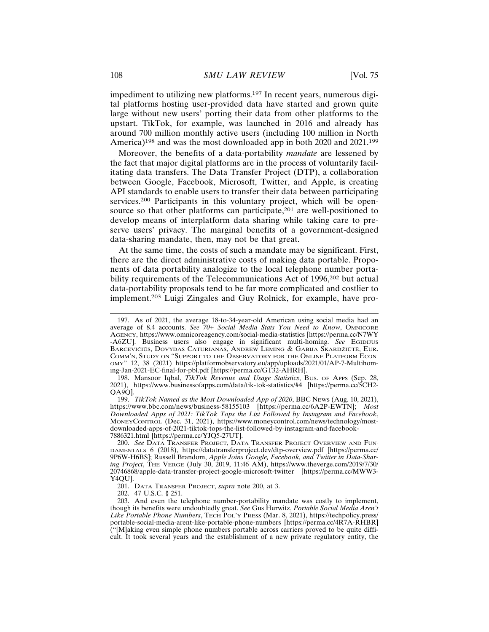impediment to utilizing new platforms.197 In recent years, numerous digital platforms hosting user-provided data have started and grown quite large without new users' porting their data from other platforms to the upstart. TikTok, for example, was launched in 2016 and already has around 700 million monthly active users (including 100 million in North America)<sup>198</sup> and was the most downloaded app in both 2020 and 2021.<sup>199</sup>

Moreover, the benefits of a data-portability *mandate* are lessened by the fact that major digital platforms are in the process of voluntarily facilitating data transfers. The Data Transfer Project (DTP), a collaboration between Google, Facebook, Microsoft, Twitter, and Apple, is creating API standards to enable users to transfer their data between participating services.<sup>200</sup> Participants in this voluntary project, which will be opensource so that other platforms can participate,<sup>201</sup> are well-positioned to develop means of interplatform data sharing while taking care to preserve users' privacy. The marginal benefits of a government-designed data-sharing mandate, then, may not be that great.

At the same time, the costs of such a mandate may be significant. First, there are the direct administrative costs of making data portable. Proponents of data portability analogize to the local telephone number portability requirements of the Telecommunications Act of 1996,<sup>202</sup> but actual data-portability proposals tend to be far more complicated and costlier to implement.203 Luigi Zingales and Guy Rolnick, for example, have pro-

199. *TikTok Named as the Most Downloaded App of 2020*, BBC NEWS (Aug. 10, 2021), https://www.bbc.com/news/business-58155103 [https://perma.cc/6A2P-EWTN]; *Most Downloaded Apps of 2021: TikTok Tops the List Followed by Instagram and Facebook*, MONEYCONTROL (Dec. 31, 2021), https://www.moneycontrol.com/news/technology/mostdownloaded-apps-of-2021-tiktok-tops-the-list-followed-by-instagram-and-facebook-7886321.html [https://perma.cc/YJQ5-27UT].

<sup>197.</sup> As of 2021, the average 18-to-34-year-old American using social media had an average of 8.4 accounts. *See 70+ Social Media Stats You Need to Know*, OMNICORE AGENCY, https://www.omnicoreagency.com/social-media-statistics [https://perma.cc/N7WY -A6ZU]. Business users also engage in significant multi-homing. *See* EGIDIJUS Barcevičiūs, Dovydas Caturianas, Andrew Leming & Gabija Skardžiútë, Eur. COMM'N, STUDY ON "SUPPORT TO THE OBSERVATORY FOR THE ONLINE PLATFORM ECON-OMY" 12, 38 (2021) https://platformobservatory.eu/app/uploads/2021/01/AP-7-Multihoming-Jan-2021-EC-final-for-pbl.pdf [https://perma.cc/GT32-AHRH].

<sup>198.</sup> Mansoor Iqbal, *TikTok Revenue and Usage Statistics*, BUS. OF APPS (Sep. 28, 2021), https://www.businessofapps.com/data/tik-tok-statistics/#4 [https://perma.cc/5CH2- QA9Q].

<sup>200.</sup> *See* DATA TRANSFER PROJECT, DATA TRANSFER PROJECT OVERVIEW AND FUN-DAMENTALS 6 (2018), https://datatransferproject.dev/dtp-overview.pdf [https://perma.cc/ 9P6W-H6BS]; Russell Brandom, *Apple Joins Google, Facebook, and Twitter in Data-Sharing Project*, THE VERGE (July 30, 2019, 11:46 AM), https://www.theverge.com/2019/7/30/ 20746868/apple-data-transfer-project-google-microsoft-twitter [https://perma.cc/MWW3- Y4QU].

<sup>201.</sup> DATA TRANSFER PROJECT, *supra* note 200, at 3.

<sup>202. 47</sup> U.S.C. § 251.

<sup>203.</sup> And even the telephone number-portability mandate was costly to implement, though its benefits were undoubtedly great. *See* Gus Hurwitz, *Portable Social Media Aren't Like Portable Phone Numbers*, TECH POL'Y PRESS (Mar. 8, 2021), https://techpolicy.press/ portable-social-media-arent-like-portable-phone-numbers [https://perma.cc/4R7A-RHBR] ("[M]aking even simple phone numbers portable across carriers proved to be quite difficult. It took several years and the establishment of a new private regulatory entity, the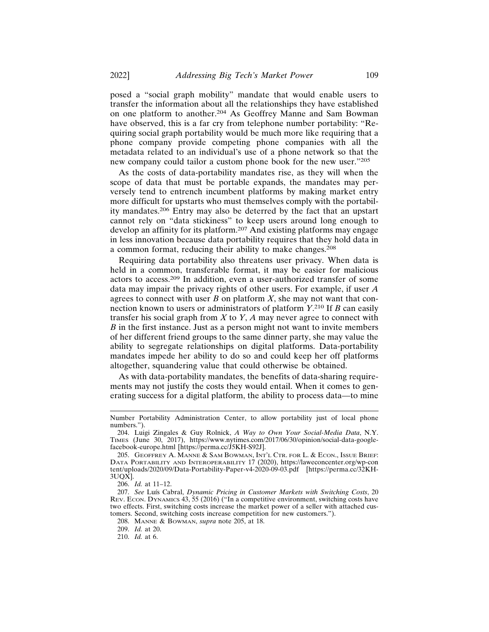posed a "social graph mobility" mandate that would enable users to transfer the information about all the relationships they have established on one platform to another.204 As Geoffrey Manne and Sam Bowman have observed, this is a far cry from telephone number portability: "Requiring social graph portability would be much more like requiring that a phone company provide competing phone companies with all the metadata related to an individual's use of a phone network so that the new company could tailor a custom phone book for the new user."<sup>205</sup>

As the costs of data-portability mandates rise, as they will when the scope of data that must be portable expands, the mandates may perversely tend to entrench incumbent platforms by making market entry more difficult for upstarts who must themselves comply with the portability mandates.206 Entry may also be deterred by the fact that an upstart cannot rely on "data stickiness" to keep users around long enough to develop an affinity for its platform.207 And existing platforms may engage in less innovation because data portability requires that they hold data in a common format, reducing their ability to make changes.<sup>208</sup>

Requiring data portability also threatens user privacy. When data is held in a common, transferable format, it may be easier for malicious actors to access.209 In addition, even a user-authorized transfer of some data may impair the privacy rights of other users. For example, if user *A* agrees to connect with user  $B$  on platform  $X$ , she may not want that connection known to users or administrators of platform *Y*. 210 If *B* can easily transfer his social graph from *X* to *Y*, *A* may never agree to connect with *B* in the first instance. Just as a person might not want to invite members of her different friend groups to the same dinner party, she may value the ability to segregate relationships on digital platforms. Data-portability mandates impede her ability to do so and could keep her off platforms altogether, squandering value that could otherwise be obtained.

As with data-portability mandates, the benefits of data-sharing requirements may not justify the costs they would entail. When it comes to generating success for a digital platform, the ability to process data—to mine

Number Portability Administration Center, to allow portability just of local phone numbers.").

<sup>204.</sup> Luigi Zingales & Guy Rolnick, *A Way to Own Your Social-Media Data*, N.Y. TIMES (June 30, 2017), https://www.nytimes.com/2017/06/30/opinion/social-data-googlefacebook-europe.html [https://perma.cc/J5KH-S92J].

<sup>205.</sup> GEOFFREY A. MANNE & SAM BOWMAN, INT'L CTR. FOR L. & ECON., ISSUE BRIEF: DATA PORTABILITY AND INTEROPERABILITY 17 (2020), https://laweconcenter.org/wp-con tent/uploads/2020/09/Data-Portability-Paper-v4-2020-09-03.pdf [https://perma.cc/32KH-3UQX].

<sup>206.</sup> *Id.* at 11–12.

<sup>207.</sup> See Luís Cabral, *Dynamic Pricing in Customer Markets with Switching Costs*, 20 REV. ECON. DYNAMICS 43, 55 (2016) ("In a competitive environment, switching costs have two effects. First, switching costs increase the market power of a seller with attached customers. Second, switching costs increase competition for new customers.").

<sup>208.</sup> MANNE & BOWMAN, *supra* note 205, at 18.

<sup>209.</sup> *Id.* at 20.

<sup>210.</sup> *Id.* at 6.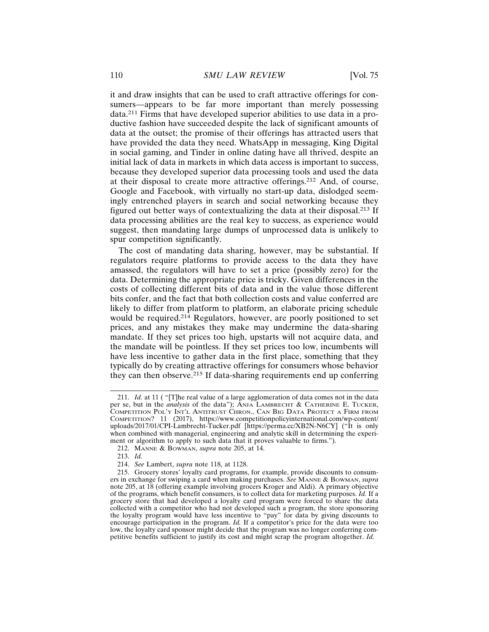it and draw insights that can be used to craft attractive offerings for consumers—appears to be far more important than merely possessing data.211 Firms that have developed superior abilities to use data in a productive fashion have succeeded despite the lack of significant amounts of data at the outset; the promise of their offerings has attracted users that have provided the data they need. WhatsApp in messaging, King Digital in social gaming, and Tinder in online dating have all thrived, despite an initial lack of data in markets in which data access is important to success, because they developed superior data processing tools and used the data at their disposal to create more attractive offerings.212 And, of course, Google and Facebook, with virtually no start-up data, dislodged seemingly entrenched players in search and social networking because they figured out better ways of contextualizing the data at their disposal.213 If data processing abilities are the real key to success, as experience would suggest, then mandating large dumps of unprocessed data is unlikely to spur competition significantly.

The cost of mandating data sharing, however, may be substantial. If regulators require platforms to provide access to the data they have amassed, the regulators will have to set a price (possibly zero) for the data. Determining the appropriate price is tricky. Given differences in the costs of collecting different bits of data and in the value those different bits confer, and the fact that both collection costs and value conferred are likely to differ from platform to platform, an elaborate pricing schedule would be required.<sup>214</sup> Regulators, however, are poorly positioned to set prices, and any mistakes they make may undermine the data-sharing mandate. If they set prices too high, upstarts will not acquire data, and the mandate will be pointless. If they set prices too low, incumbents will have less incentive to gather data in the first place, something that they typically do by creating attractive offerings for consumers whose behavior they can then observe.215 If data-sharing requirements end up conferring

<sup>211.</sup> *Id.* at 11 ( "[T]he real value of a large agglomeration of data comes not in the data per se, but in the *analysis* of the data"); ANJA LAMBRECHT & CATHERINE E. TUCKER, COMPETITION POL'Y INT'L ANTITRUST CHRON., CAN BIG DATA PROTECT A FIRM FROM COMPETITION? 11 (2017), https://www.competitionpolicyinternational.com/wp-content/ uploads/2017/01/CPI-Lambrecht-Tucker.pdf [https://perma.cc/XB2N-N6CY] ("It is only when combined with managerial, engineering and analytic skill in determining the experiment or algorithm to apply to such data that it proves valuable to firms.").

<sup>212.</sup> MANNE & BOWMAN, *supra* note 205, at 14.

<sup>213.</sup> *Id.*

<sup>214.</sup> *See* Lambert, *supra* note 118, at 1128.

<sup>215.</sup> Grocery stores' loyalty card programs, for example, provide discounts to consumers in exchange for swiping a card when making purchases. *See* MANNE & BOWMAN, *supra* note 205, at 18 (offering example involving grocers Kroger and Aldi). A primary objective of the programs, which benefit consumers, is to collect data for marketing purposes. *Id.* If a grocery store that had developed a loyalty card program were forced to share the data collected with a competitor who had not developed such a program, the store sponsoring the loyalty program would have less incentive to "pay" for data by giving discounts to encourage participation in the program. *Id.* If a competitor's price for the data were too low, the loyalty card sponsor might decide that the program was no longer conferring competitive benefits sufficient to justify its cost and might scrap the program altogether. *Id.*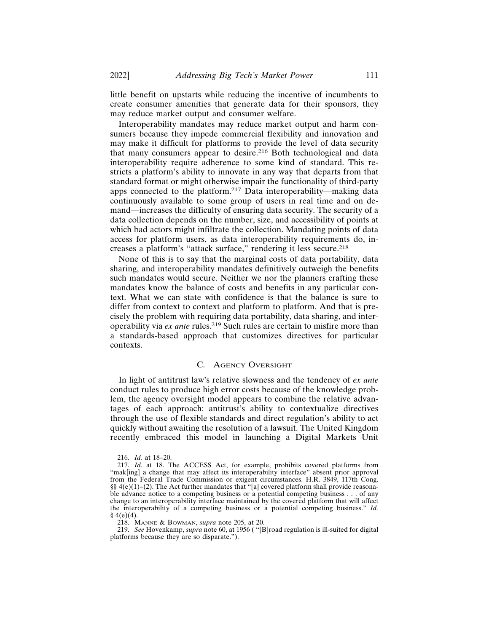little benefit on upstarts while reducing the incentive of incumbents to create consumer amenities that generate data for their sponsors, they may reduce market output and consumer welfare.

Interoperability mandates may reduce market output and harm consumers because they impede commercial flexibility and innovation and may make it difficult for platforms to provide the level of data security that many consumers appear to desire.<sup>216</sup> Both technological and data interoperability require adherence to some kind of standard. This restricts a platform's ability to innovate in any way that departs from that standard format or might otherwise impair the functionality of third-party apps connected to the platform.217 Data interoperability—making data continuously available to some group of users in real time and on demand—increases the difficulty of ensuring data security. The security of a data collection depends on the number, size, and accessibility of points at which bad actors might infiltrate the collection. Mandating points of data access for platform users, as data interoperability requirements do, increases a platform's "attack surface," rendering it less secure.<sup>218</sup>

None of this is to say that the marginal costs of data portability, data sharing, and interoperability mandates definitively outweigh the benefits such mandates would secure. Neither we nor the planners crafting these mandates know the balance of costs and benefits in any particular context. What we can state with confidence is that the balance is sure to differ from context to context and platform to platform. And that is precisely the problem with requiring data portability, data sharing, and interoperability via *ex ante* rules.219 Such rules are certain to misfire more than a standards-based approach that customizes directives for particular contexts.

## C. AGENCY OVERSIGHT

In light of antitrust law's relative slowness and the tendency of *ex ante* conduct rules to produce high error costs because of the knowledge problem, the agency oversight model appears to combine the relative advantages of each approach: antitrust's ability to contextualize directives through the use of flexible standards and direct regulation's ability to act quickly without awaiting the resolution of a lawsuit. The United Kingdom recently embraced this model in launching a Digital Markets Unit

<sup>216.</sup> *Id.* at 18–20.

<sup>217.</sup> *Id.* at 18. The ACCESS Act, for example, prohibits covered platforms from "mak[ing] a change that may affect its interoperability interface" absent prior approval from the Federal Trade Commission or exigent circumstances. H.R. 3849, 117th Cong. §§ 4(e)(1)–(2). The Act further mandates that "[a] covered platform shall provide reasonable advance notice to a competing business or a potential competing business . . . of any change to an interoperability interface maintained by the covered platform that will affect the interoperability of a competing business or a potential competing business." *Id.*  $§ 4(e)(4).$ 

<sup>218.</sup> MANNE & BOWMAN, *supra* note 205, at 20.

<sup>219.</sup> *See* Hovenkamp, *supra* note 60, at 1956 ( "[B]road regulation is ill-suited for digital platforms because they are so disparate.").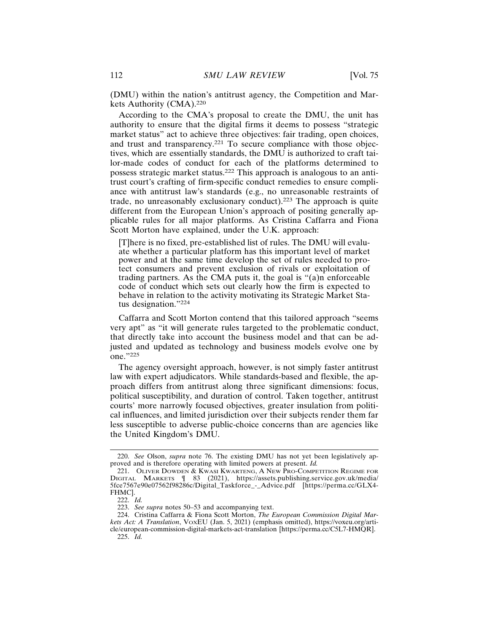(DMU) within the nation's antitrust agency, the Competition and Markets Authority (CMA).<sup>220</sup>

According to the CMA's proposal to create the DMU, the unit has authority to ensure that the digital firms it deems to possess "strategic market status" act to achieve three objectives: fair trading, open choices, and trust and transparency.<sup>221</sup> To secure compliance with those objectives, which are essentially standards, the DMU is authorized to craft tailor-made codes of conduct for each of the platforms determined to possess strategic market status.222 This approach is analogous to an antitrust court's crafting of firm-specific conduct remedies to ensure compliance with antitrust law's standards (e.g., no unreasonable restraints of trade, no unreasonably exclusionary conduct).223 The approach is quite different from the European Union's approach of positing generally applicable rules for all major platforms. As Cristina Caffarra and Fiona Scott Morton have explained, under the U.K. approach:

[T]here is no fixed, pre-established list of rules. The DMU will evaluate whether a particular platform has this important level of market power and at the same time develop the set of rules needed to protect consumers and prevent exclusion of rivals or exploitation of trading partners. As the CMA puts it, the goal is "(a)n enforceable code of conduct which sets out clearly how the firm is expected to behave in relation to the activity motivating its Strategic Market Status designation."<sup>224</sup>

Caffarra and Scott Morton contend that this tailored approach "seems very apt" as "it will generate rules targeted to the problematic conduct, that directly take into account the business model and that can be adjusted and updated as technology and business models evolve one by one."<sup>225</sup>

The agency oversight approach, however, is not simply faster antitrust law with expert adjudicators. While standards-based and flexible, the approach differs from antitrust along three significant dimensions: focus, political susceptibility, and duration of control. Taken together, antitrust courts' more narrowly focused objectives, greater insulation from political influences, and limited jurisdiction over their subjects render them far less susceptible to adverse public-choice concerns than are agencies like the United Kingdom's DMU.

<sup>220.</sup> *See* Olson, *supra* note 76. The existing DMU has not yet been legislatively approved and is therefore operating with limited powers at present. *Id.*

<sup>221.</sup> OLIVER DOWDEN & KWASI KWARTENG, A NEW PRO-COMPETITION REGIME FOR DIGITAL MARKETS ¶ 83 (2021), https://assets.publishing.service.gov.uk/media/ 5fce7567e90e07562f98286c/Digital\_Taskforce\_-\_Advice.pdf [https://perma.cc/GLX4- FHMC].

<sup>222.</sup> *Id.*

<sup>223.</sup> *See supra* notes 50–53 and accompanying text.

<sup>224.</sup> Cristina Caffarra & Fiona Scott Morton, *The European Commission Digital Markets Act: A Translation*, VOXEU (Jan. 5, 2021) (emphasis omitted), https://voxeu.org/article/european-commission-digital-markets-act-translation [https://perma.cc/C5L7-HMQR]. 225. *Id.*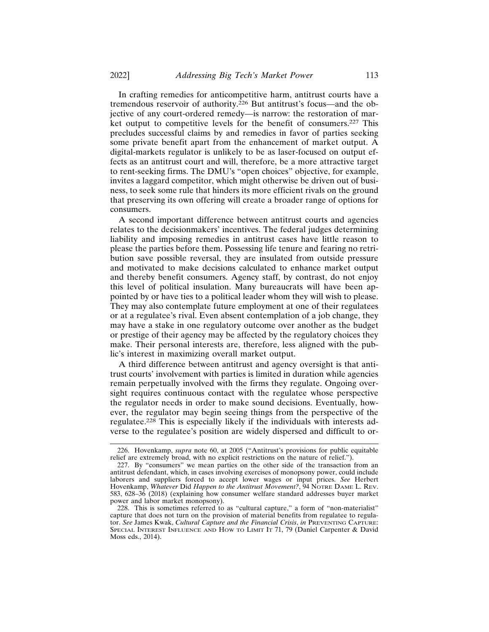In crafting remedies for anticompetitive harm, antitrust courts have a tremendous reservoir of authority.<sup>226</sup> But antitrust's focus—and the objective of any court-ordered remedy—is narrow: the restoration of market output to competitive levels for the benefit of consumers.227 This precludes successful claims by and remedies in favor of parties seeking some private benefit apart from the enhancement of market output. A digital-markets regulator is unlikely to be as laser-focused on output effects as an antitrust court and will, therefore, be a more attractive target to rent-seeking firms. The DMU's "open choices" objective, for example, invites a laggard competitor, which might otherwise be driven out of business, to seek some rule that hinders its more efficient rivals on the ground that preserving its own offering will create a broader range of options for consumers.

A second important difference between antitrust courts and agencies relates to the decisionmakers' incentives. The federal judges determining liability and imposing remedies in antitrust cases have little reason to please the parties before them. Possessing life tenure and fearing no retribution save possible reversal, they are insulated from outside pressure and motivated to make decisions calculated to enhance market output and thereby benefit consumers. Agency staff, by contrast, do not enjoy this level of political insulation. Many bureaucrats will have been appointed by or have ties to a political leader whom they will wish to please. They may also contemplate future employment at one of their regulatees or at a regulatee's rival. Even absent contemplation of a job change, they may have a stake in one regulatory outcome over another as the budget or prestige of their agency may be affected by the regulatory choices they make. Their personal interests are, therefore, less aligned with the public's interest in maximizing overall market output.

A third difference between antitrust and agency oversight is that antitrust courts' involvement with parties is limited in duration while agencies remain perpetually involved with the firms they regulate. Ongoing oversight requires continuous contact with the regulatee whose perspective the regulator needs in order to make sound decisions. Eventually, however, the regulator may begin seeing things from the perspective of the regulatee.228 This is especially likely if the individuals with interests adverse to the regulatee's position are widely dispersed and difficult to or-

<sup>226.</sup> Hovenkamp, *supra* note 60, at 2005 ("Antitrust's provisions for public equitable relief are extremely broad, with no explicit restrictions on the nature of relief.").

<sup>227.</sup> By "consumers" we mean parties on the other side of the transaction from an antitrust defendant, which, in cases involving exercises of monopsony power, could include laborers and suppliers forced to accept lower wages or input prices. *See* Herbert Hovenkamp, *Whatever* Did *Happen to the Antitrust Movement?*, 94 NOTRE DAME L. REV. 583, 628–36 (2018) (explaining how consumer welfare standard addresses buyer market power and labor market monopsony).

<sup>228.</sup> This is sometimes referred to as "cultural capture," a form of "non-materialist" capture that does not turn on the provision of material benefits from regulatee to regulator. *See* James Kwak, *Cultural Capture and the Financial Crisis*, *in* PREVENTING CAPTURE: SPECIAL INTEREST INFLUENCE AND HOW TO LIMIT IT 71, 79 (Daniel Carpenter & David Moss eds., 2014).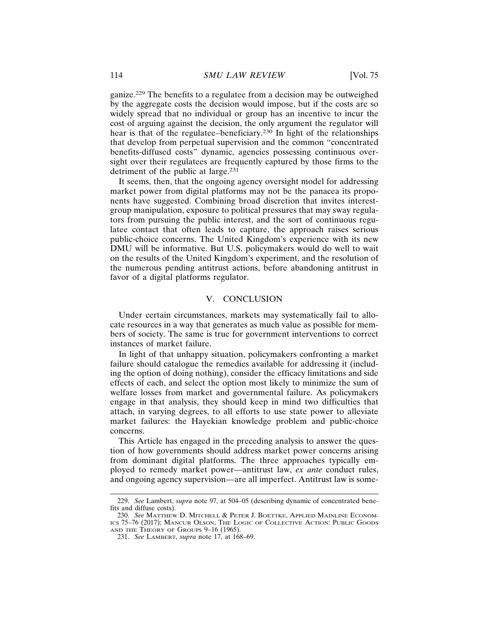ganize.229 The benefits to a regulatee from a decision may be outweighed by the aggregate costs the decision would impose, but if the costs are so widely spread that no individual or group has an incentive to incur the cost of arguing against the decision, the only argument the regulator will hear is that of the regulatee–beneficiary.230 In light of the relationships that develop from perpetual supervision and the common "concentrated benefits-diffused costs" dynamic, agencies possessing continuous oversight over their regulatees are frequently captured by those firms to the detriment of the public at large.<sup>231</sup>

It seems, then, that the ongoing agency oversight model for addressing market power from digital platforms may not be the panacea its proponents have suggested. Combining broad discretion that invites interestgroup manipulation, exposure to political pressures that may sway regulators from pursuing the public interest, and the sort of continuous regulatee contact that often leads to capture, the approach raises serious public-choice concerns. The United Kingdom's experience with its new DMU will be informative. But U.S. policymakers would do well to wait on the results of the United Kingdom's experiment, and the resolution of the numerous pending antitrust actions, before abandoning antitrust in favor of a digital platforms regulator.

## V. CONCLUSION

Under certain circumstances, markets may systematically fail to allocate resources in a way that generates as much value as possible for members of society. The same is true for government interventions to correct instances of market failure.

In light of that unhappy situation, policymakers confronting a market failure should catalogue the remedies available for addressing it (including the option of doing nothing), consider the efficacy limitations and side effects of each, and select the option most likely to minimize the sum of welfare losses from market and governmental failure. As policymakers engage in that analysis, they should keep in mind two difficulties that attach, in varying degrees, to all efforts to use state power to alleviate market failures: the Hayekian knowledge problem and public-choice concerns.

This Article has engaged in the preceding analysis to answer the question of how governments should address market power concerns arising from dominant digital platforms. The three approaches typically employed to remedy market power—antitrust law, *ex ante* conduct rules, and ongoing agency supervision—are all imperfect. Antitrust law is some-

<sup>229.</sup> *See* Lambert, *supra* note 97, at 504–05 (describing dynamic of concentrated benefits and diffuse costs).

<sup>230.</sup> *See* MATTHEW D. MITCHELL & PETER J. BOETTKE, APPLIED MAINLINE ECONOM-ICS 75–76 (2017); MANCUR OLSON, THE LOGIC OF COLLECTIVE ACTION: PUBLIC GOODS AND THE THEORY OF GROUPS 9-16 (1965).

<sup>231.</sup> *See* LAMBERT, *supra* note 17, at 168–69.